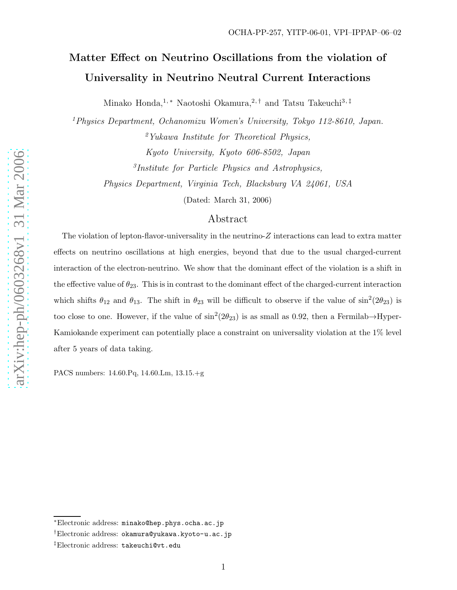# Matter Effect on Neutrino Oscillations from the violation of Universality in Neutrino Neutral Current Interactions

Minako Honda,<sup>1,\*</sup> Naotoshi Okamura,<sup>2,†</sup> and Tatsu Takeuchi<sup>3,‡</sup>

<sup>1</sup>Physics Department, Ochanomizu Women's University, Tokyo 112-8610, Japan. <sup>2</sup>Yukawa Institute for Theoretical Physics, Kyoto University, Kyoto 606-8502, Japan 3 Institute for Particle Physics and Astrophysics, Physics Department, Virginia Tech, Blacksburg VA 24061, USA

(Dated: March 31, 2006)

# Abstract

The violation of lepton-flavor-universality in the neutrino-Z interactions can lead to extra matter effects on neutrino oscillations at high energies, beyond that due to the usual charged-current interaction of the electron-neutrino. We show that the dominant effect of the violation is a shift in the effective value of  $\theta_{23}$ . This is in contrast to the dominant effect of the charged-current interaction which shifts  $\theta_{12}$  and  $\theta_{13}$ . The shift in  $\theta_{23}$  will be difficult to observe if the value of  $\sin^2(2\theta_{23})$  is too close to one. However, if the value of  $\sin^2(2\theta_{23})$  is as small as 0.92, then a Fermilab $\rightarrow$ Hyper-Kamiokande experiment can potentially place a constraint on universality violation at the 1% level after 5 years of data taking.

PACS numbers: 14.60.Pq, 14.60.Lm, 13.15.+g

<sup>∗</sup>Electronic address: minako@hep.phys.ocha.ac.jp

<sup>†</sup>Electronic address: okamura@yukawa.kyoto-u.ac.jp

<sup>‡</sup>Electronic address: takeuchi@vt.edu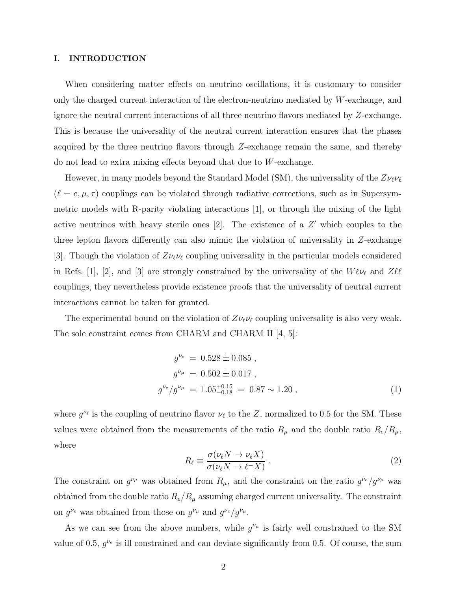# I. INTRODUCTION

When considering matter effects on neutrino oscillations, it is customary to consider only the charged current interaction of the electron-neutrino mediated by W-exchange, and ignore the neutral current interactions of all three neutrino flavors mediated by Z-exchange. This is because the universality of the neutral current interaction ensures that the phases acquired by the three neutrino flavors through Z-exchange remain the same, and thereby do not lead to extra mixing effects beyond that due to W-exchange.

However, in many models beyond the Standard Model (SM), the universality of the  $Z\nu_{\ell}\nu_{\ell}$  $(\ell = e, \mu, \tau)$  couplings can be violated through radiative corrections, such as in Supersymmetric models with R-parity violating interactions [1], or through the mixing of the light active neutrinos with heavy sterile ones  $[2]$ . The existence of a  $Z'$  which couples to the three lepton flavors differently can also mimic the violation of universality in Z-exchange [3]. Though the violation of  $Z\nu_{\ell}\nu_{\ell}$  coupling universality in the particular models considered in Refs. [1], [2], and [3] are strongly constrained by the universality of the  $W\ell\nu_{\ell}$  and  $Z\ell\ell$ couplings, they nevertheless provide existence proofs that the universality of neutral current interactions cannot be taken for granted.

The experimental bound on the violation of  $Z\nu_{\ell}\nu_{\ell}$  coupling universality is also very weak. The sole constraint comes from CHARM and CHARM II [4, 5]:

$$
g^{\nu_e} = 0.528 \pm 0.085 ,
$$
  
\n
$$
g^{\nu_\mu} = 0.502 \pm 0.017 ,
$$
  
\n
$$
g^{\nu_e}/g^{\nu_\mu} = 1.05^{+0.15}_{-0.18} = 0.87 \sim 1.20 ,
$$
\n(1)

where  $g^{\nu_{\ell}}$  is the coupling of neutrino flavor  $\nu_{\ell}$  to the Z, normalized to 0.5 for the SM. These values were obtained from the measurements of the ratio  $R_{\mu}$  and the double ratio  $R_e/R_{\mu}$ , where

$$
R_{\ell} \equiv \frac{\sigma(\nu_{\ell} N \to \nu_{\ell} X)}{\sigma(\nu_{\ell} N \to \ell^{-} X)} \,. \tag{2}
$$

The constraint on  $g^{\nu_{\mu}}$  was obtained from  $R_{\mu}$ , and the constraint on the ratio  $g^{\nu_{e}}/g^{\nu_{\mu}}$  was obtained from the double ratio  $R_e/R_\mu$  assuming charged current universality. The constraint on  $g^{\nu_e}$  was obtained from those on  $g^{\nu_\mu}$  and  $g^{\nu_e}/g^{\nu_\mu}$ .

As we can see from the above numbers, while  $g^{\nu_{\mu}}$  is fairly well constrained to the SM value of 0.5,  $g^{\nu_e}$  is ill constrained and can deviate significantly from 0.5. Of course, the sum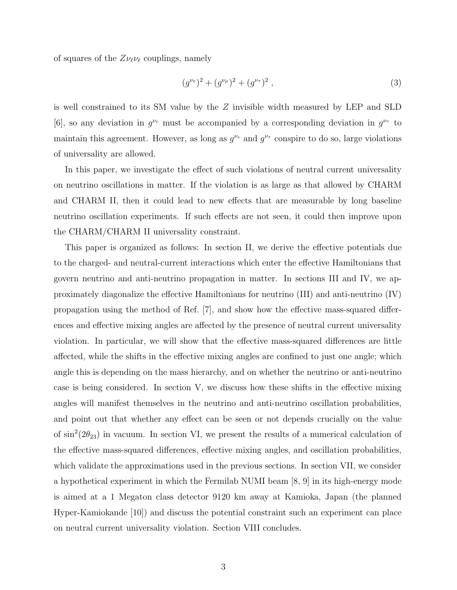of squares of the  $Z\nu_{\ell}\nu_{\ell}$  couplings, namely

$$
(g^{\nu_e})^2 + (g^{\nu_\mu})^2 + (g^{\nu_\tau})^2 , \qquad (3)
$$

is well constrained to its SM value by the Z invisible width measured by LEP and SLD [6], so any deviation in  $g^{\nu_e}$  must be accompanied by a corresponding deviation in  $g^{\nu_\tau}$  to maintain this agreement. However, as long as  $g^{\nu_e}$  and  $g^{\nu_\tau}$  conspire to do so, large violations of universality are allowed.

In this paper, we investigate the effect of such violations of neutral current universality on neutrino oscillations in matter. If the violation is as large as that allowed by CHARM and CHARM II, then it could lead to new effects that are measurable by long baseline neutrino oscillation experiments. If such effects are not seen, it could then improve upon the CHARM/CHARM II universality constraint.

This paper is organized as follows: In section II, we derive the effective potentials due to the charged- and neutral-current interactions which enter the effective Hamiltonians that govern neutrino and anti-neutrino propagation in matter. In sections III and IV, we approximately diagonalize the effective Hamiltonians for neutrino (III) and anti-neutrino (IV) propagation using the method of Ref. [7], and show how the effective mass-squared differences and effective mixing angles are affected by the presence of neutral current universality violation. In particular, we will show that the effective mass-squared differences are little affected, while the shifts in the effective mixing angles are confined to just one angle; which angle this is depending on the mass hierarchy, and on whether the neutrino or anti-neutrino case is being considered. In section V, we discuss how these shifts in the effective mixing angles will manifest themselves in the neutrino and anti-neutrino oscillation probabilities, and point out that whether any effect can be seen or not depends crucially on the value of  $\sin^2(2\theta_{23})$  in vacuum. In section VI, we present the results of a numerical calculation of the effective mass-squared differences, effective mixing angles, and oscillation probabilities, which validate the approximations used in the previous sections. In section VII, we consider a hypothetical experiment in which the Fermilab NUMI beam [8, 9] in its high-energy mode is aimed at a 1 Megaton class detector 9120 km away at Kamioka, Japan (the planned Hyper-Kamiokande [10]) and discuss the potential constraint such an experiment can place on neutral current universality violation. Section VIII concludes.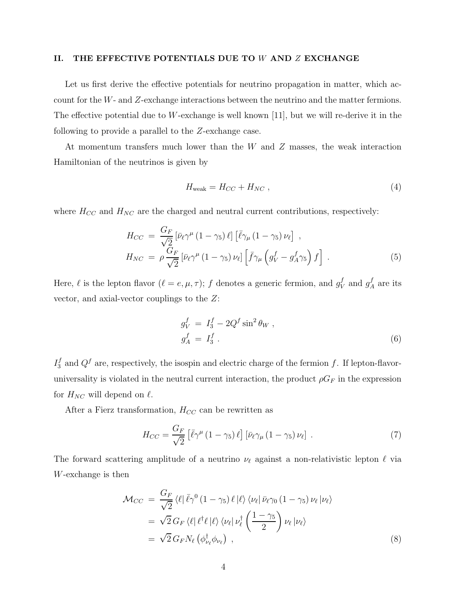# II. THE EFFECTIVE POTENTIALS DUE TO  $W$  and  $Z$  exchange

Let us first derive the effective potentials for neutrino propagation in matter, which account for the W- and Z-exchange interactions between the neutrino and the matter fermions. The effective potential due to W-exchange is well known [11], but we will re-derive it in the following to provide a parallel to the Z-exchange case.

At momentum transfers much lower than the W and Z masses, the weak interaction Hamiltonian of the neutrinos is given by

$$
H_{\text{weak}} = H_{CC} + H_{NC} \,, \tag{4}
$$

where  $H_{CC}$  and  $H_{NC}$  are the charged and neutral current contributions, respectively:

$$
H_{CC} = \frac{G_F}{\sqrt{2}} \left[ \bar{\nu}_{\ell} \gamma^{\mu} \left( 1 - \gamma_5 \right) \ell \right] \left[ \bar{\ell} \gamma_{\mu} \left( 1 - \gamma_5 \right) \nu_{\ell} \right],
$$
  
\n
$$
H_{NC} = \rho \frac{G_F}{\sqrt{2}} \left[ \bar{\nu}_{\ell} \gamma^{\mu} \left( 1 - \gamma_5 \right) \nu_{\ell} \right] \left[ \bar{f} \gamma_{\mu} \left( g_V^f - g_A^f \gamma_5 \right) f \right].
$$
\n(5)

Here,  $\ell$  is the lepton flavor  $(\ell = e, \mu, \tau); f$  denotes a generic fermion, and  $g_V^f$  $V$  and  $g_A^f$  $_A^J$  are its vector, and axial-vector couplings to the Z:

$$
g_V^f = I_3^f - 2Q^f \sin^2 \theta_W ,
$$
  
\n
$$
g_A^f = I_3^f .
$$
\n(6)

 $I_3^f$  $S_3^f$  and  $Q^f$  are, respectively, the isospin and electric charge of the fermion f. If lepton-flavoruniversality is violated in the neutral current interaction, the product  $\rho G_F$  in the expression for  $H_{NC}$  will depend on  $\ell$ .

After a Fierz transformation,  $H_{CC}$  can be rewritten as

$$
H_{CC} = \frac{G_F}{\sqrt{2}} \left[ \bar{\ell} \gamma^{\mu} \left( 1 - \gamma_5 \right) \ell \right] \left[ \bar{\nu}_{\ell} \gamma_{\mu} \left( 1 - \gamma_5 \right) \nu_{\ell} \right] . \tag{7}
$$

The forward scattering amplitude of a neutrino  $\nu_{\ell}$  against a non-relativistic lepton  $\ell$  via W-exchange is then

$$
\mathcal{M}_{CC} = \frac{G_F}{\sqrt{2}} \langle \ell | \bar{\ell} \gamma^0 (1 - \gamma_5) \ell | \ell \rangle \langle \nu_\ell | \bar{\nu}_\ell \gamma_0 (1 - \gamma_5) \nu_\ell | \nu_\ell \rangle \n= \sqrt{2} G_F \langle \ell | \ell^\dagger \ell | \ell \rangle \langle \nu_\ell | \nu_\ell^\dagger \left( \frac{1 - \gamma_5}{2} \right) \nu_\ell | \nu_\ell \rangle \n= \sqrt{2} G_F N_\ell \left( \phi_{\nu_\ell}^\dagger \phi_{\nu_\ell} \right) ,
$$
\n(8)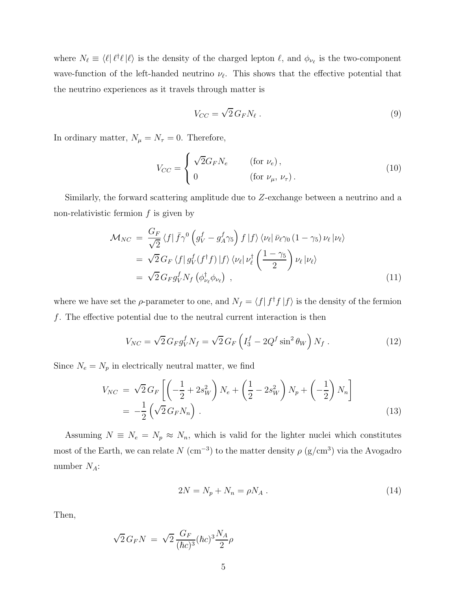where  $N_{\ell} \equiv \langle \ell | \ell^{\dagger} \ell | \ell \rangle$  is the density of the charged lepton  $\ell$ , and  $\phi_{\nu_{\ell}}$  is the two-component wave-function of the left-handed neutrino  $\nu_{\ell}$ . This shows that the effective potential that the neutrino experiences as it travels through matter is

$$
V_{CC} = \sqrt{2} \, G_F N_\ell \,. \tag{9}
$$

In ordinary matter,  $N_{\mu} = N_{\tau} = 0$ . Therefore,

$$
V_{CC} = \begin{cases} \sqrt{2}G_F N_e & \text{(for } \nu_e, \\ 0 & \text{(for } \nu_\mu, \nu_\tau). \end{cases}
$$
 (10)

Similarly, the forward scattering amplitude due to Z-exchange between a neutrino and a non-relativistic fermion  $f$  is given by

$$
\mathcal{M}_{NC} = \frac{G_F}{\sqrt{2}} \langle f | \bar{f} \gamma^0 \left( g_V^f - g_A^f \gamma_5 \right) f | f \rangle \langle \nu_\ell | \bar{\nu}_\ell \gamma_0 (1 - \gamma_5) \nu_\ell | \nu_\ell \rangle \n= \sqrt{2} G_F \langle f | g_V^f (f^\dagger f) | f \rangle \langle \nu_\ell | \nu_\ell^{\dagger} \left( \frac{1 - \gamma_5}{2} \right) \nu_\ell | \nu_\ell \rangle \n= \sqrt{2} G_F g_V^f N_f \left( \phi_{\nu_\ell}^{\dagger} \phi_{\nu_\ell} \right) ,
$$
\n(11)

where we have set the  $\rho$ -parameter to one, and  $N_f = \langle f | f^{\dagger} f | f \rangle$  is the density of the fermion f. The effective potential due to the neutral current interaction is then

$$
V_{NC} = \sqrt{2} G_F g_V^f N_f = \sqrt{2} G_F \left( I_3^f - 2Q^f \sin^2 \theta_W \right) N_f \,. \tag{12}
$$

Since  $N_e = N_p$  in electrically neutral matter, we find

$$
V_{NC} = \sqrt{2} G_F \left[ \left( -\frac{1}{2} + 2s_W^2 \right) N_e + \left( \frac{1}{2} - 2s_W^2 \right) N_p + \left( -\frac{1}{2} \right) N_n \right]
$$
  
=  $-\frac{1}{2} \left( \sqrt{2} G_F N_n \right)$ . (13)

Assuming  $N \equiv N_e = N_p \approx N_n$ , which is valid for the lighter nuclei which constitutes most of the Earth, we can relate  $N \text{ (cm}^{-3}$  to the matter density  $\rho \text{ (g/cm}^3)$  via the Avogadro number  $N_A$ :

$$
2N = N_p + N_n = \rho N_A \tag{14}
$$

Then,

$$
\sqrt{2}\,G_F N\,=\,\sqrt{2}\,\frac{G_F}{(\hbar c)^3}(\hbar c)^3\frac{N_A}{2}\rho
$$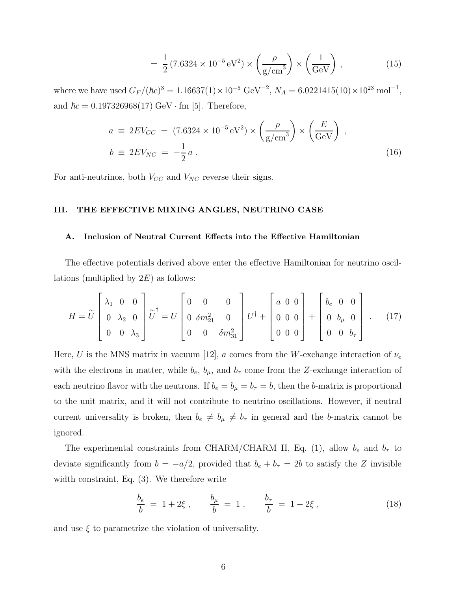$$
= \frac{1}{2} (7.6324 \times 10^{-5} \,\text{eV}^2) \times \left(\frac{\rho}{\text{g/cm}^3}\right) \times \left(\frac{1}{\text{GeV}}\right) ,\tag{15}
$$

where we have used  $G_F/(\hbar c)^3 = 1.16637(1) \times 10^{-5} \text{ GeV}^{-2}$ ,  $N_A = 6.0221415(10) \times 10^{23} \text{ mol}^{-1}$ , and  $\hbar c = 0.197326968(17) \text{ GeV} \cdot \text{fm}$  [5]. Therefore,

$$
a \equiv 2EV_{CC} = (7.6324 \times 10^{-5} \,\text{eV}^2) \times \left(\frac{\rho}{\text{g/cm}^3}\right) \times \left(\frac{E}{\text{GeV}}\right) ,
$$
  

$$
b \equiv 2EV_{NC} = -\frac{1}{2}a .
$$
 (16)

For anti-neutrinos, both  $V_{CC}$  and  $V_{NC}$  reverse their signs.

# III. THE EFFECTIVE MIXING ANGLES, NEUTRINO CASE

# A. Inclusion of Neutral Current Effects into the Effective Hamiltonian

The effective potentials derived above enter the effective Hamiltonian for neutrino oscillations (multiplied by  $2E$ ) as follows:

$$
H = \widetilde{U} \begin{bmatrix} \lambda_1 & 0 & 0 \\ 0 & \lambda_2 & 0 \\ 0 & 0 & \lambda_3 \end{bmatrix} \widetilde{U}^{\dagger} = U \begin{bmatrix} 0 & 0 & 0 \\ 0 & \delta m_{21}^2 & 0 \\ 0 & 0 & \delta m_{31}^2 \end{bmatrix} U^{\dagger} + \begin{bmatrix} a & 0 & 0 \\ 0 & 0 & 0 \\ 0 & 0 & 0 \end{bmatrix} + \begin{bmatrix} b_e & 0 & 0 \\ 0 & b_\mu & 0 \\ 0 & 0 & b_\tau \end{bmatrix} . \quad (17)
$$

Here, U is the MNS matrix in vacuum [12], a comes from the W-exchange interaction of  $\nu_e$ with the electrons in matter, while  $b_e$ ,  $b_\mu$ , and  $b_\tau$  come from the Z-exchange interaction of each neutrino flavor with the neutrons. If  $b_e = b_\mu = b_\tau = b$ , then the b-matrix is proportional to the unit matrix, and it will not contribute to neutrino oscillations. However, if neutral current universality is broken, then  $b_e \neq b_\mu \neq b_\tau$  in general and the b-matrix cannot be ignored.

The experimental constraints from CHARM/CHARM II, Eq. (1), allow  $b_e$  and  $b_\tau$  to deviate significantly from  $b = -a/2$ , provided that  $b_e + b_\tau = 2b$  to satisfy the Z invisible width constraint, Eq. (3). We therefore write

$$
\frac{b_e}{b} = 1 + 2\xi \,, \qquad \frac{b_\mu}{b} = 1 \,, \qquad \frac{b_\tau}{b} = 1 - 2\xi \,, \tag{18}
$$

and use  $\xi$  to parametrize the violation of universality.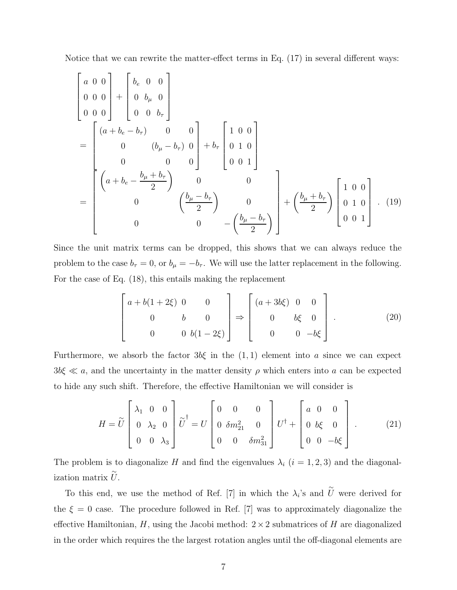Notice that we can rewrite the matter-effect terms in Eq. (17) in several different ways:

$$
\begin{bmatrix}\n a & 0 & 0 \\
 0 & 0 & 0 \\
 0 & 0 & 0\n\end{bmatrix} +\n\begin{bmatrix}\n b_e & 0 & 0 \\
 0 & b_\mu & 0 \\
 0 & 0 & b_\tau\n\end{bmatrix}
$$
\n
$$
= \begin{bmatrix}\n (a + b_e - b_\tau) & 0 & 0 \\
 0 & (b_\mu - b_\tau) & 0 \\
 0 & 0 & 0\n\end{bmatrix} + b_\tau \begin{bmatrix}\n 1 & 0 & 0 \\
 0 & 1 & 0 \\
 0 & 0 & 1\n\end{bmatrix}
$$
\n
$$
= \begin{bmatrix}\n a + b_e - \frac{b_\mu + b_\tau}{2} & 0 & 0 \\
 0 & \left(\frac{b_\mu - b_\tau}{2}\right) & 0 \\
 0 & 0 & -\left(\frac{b_\mu - b_\tau}{2}\right)\n\end{bmatrix} + \left(\frac{b_\mu + b_\tau}{2}\right) \begin{bmatrix}\n 1 & 0 & 0 \\
 0 & 1 & 0 \\
 0 & 0 & 1\n\end{bmatrix}.
$$
\n(19)

Since the unit matrix terms can be dropped, this shows that we can always reduce the problem to the case  $b_{\tau} = 0$ , or  $b_{\mu} = -b_{\tau}$ . We will use the latter replacement in the following. For the case of Eq. (18), this entails making the replacement

$$
\begin{bmatrix}\n a + b(1 + 2\xi) & 0 & 0 \\
 0 & b & 0 \\
 0 & 0 & b(1 - 2\xi)\n\end{bmatrix}\n\Rightarrow\n\begin{bmatrix}\n (a + 3b\xi) & 0 & 0 \\
 0 & b\xi & 0 \\
 0 & 0 & -b\xi\n\end{bmatrix}.
$$
\n(20)

Furthermore, we absorb the factor  $3b\xi$  in the  $(1,1)$  element into a since we can expect  $3b\xi \ll a$ , and the uncertainty in the matter density  $\rho$  which enters into a can be expected to hide any such shift. Therefore, the effective Hamiltonian we will consider is

$$
H = \widetilde{U} \begin{bmatrix} \lambda_1 & 0 & 0 \\ 0 & \lambda_2 & 0 \\ 0 & 0 & \lambda_3 \end{bmatrix} \widetilde{U}^{\dagger} = U \begin{bmatrix} 0 & 0 & 0 \\ 0 & \delta m_{21}^2 & 0 \\ 0 & 0 & \delta m_{31}^2 \end{bmatrix} U^{\dagger} + \begin{bmatrix} a & 0 & 0 \\ 0 & b\xi & 0 \\ 0 & 0 & -b\xi \end{bmatrix} . \tag{21}
$$

The problem is to diagonalize H and find the eigenvalues  $\lambda_i$  (i = 1, 2, 3) and the diagonalization matrix  $\tilde{U}$ .

To this end, we use the method of Ref. [7] in which the  $\lambda_i$ 's and  $\tilde{U}$  were derived for the  $\xi = 0$  case. The procedure followed in Ref. [7] was to approximately diagonalize the effective Hamiltonian,  $H$ , using the Jacobi method:  $2 \times 2$  submatrices of  $H$  are diagonalized in the order which requires the the largest rotation angles until the off-diagonal elements are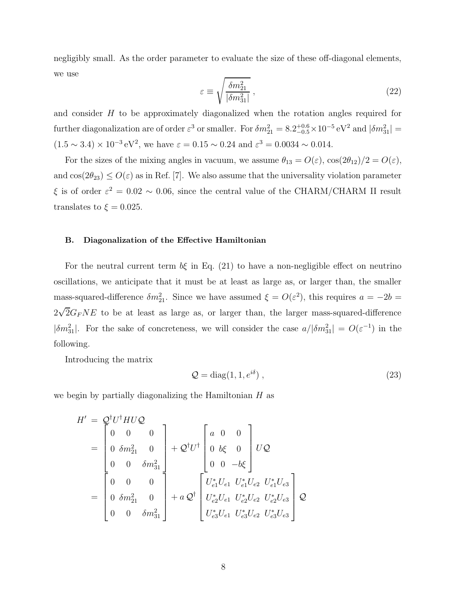negligibly small. As the order parameter to evaluate the size of these off-diagonal elements, we use

$$
\varepsilon \equiv \sqrt{\frac{\delta m_{21}^2}{|\delta m_{31}^2|}}\,,\tag{22}
$$

and consider H to be approximately diagonalized when the rotation angles required for further diagonalization are of order  $\varepsilon^3$  or smaller. For  $\delta m_{21}^2 = 8.2^{+0.6}_{-0.5} \times 10^{-5} \text{ eV}^2$  and  $|\delta m_{31}^2|$  =  $(1.5 \sim 3.4) \times 10^{-3} \text{ eV}^2$ , we have  $\varepsilon = 0.15 \sim 0.24$  and  $\varepsilon^3 = 0.0034 \sim 0.014$ .

For the sizes of the mixing angles in vacuum, we assume  $\theta_{13} = O(\varepsilon)$ ,  $\cos(2\theta_{12})/2 = O(\varepsilon)$ , and  $\cos(2\theta_{23}) \leq O(\varepsilon)$  as in Ref. [7]. We also assume that the universality violation parameter  $\xi$  is of order  $\varepsilon^2 = 0.02 \sim 0.06$ , since the central value of the CHARM/CHARM II result translates to  $\xi = 0.025$ .

#### B. Diagonalization of the Effective Hamiltonian

For the neutral current term  $b\xi$  in Eq. (21) to have a non-negligible effect on neutrino oscillations, we anticipate that it must be at least as large as, or larger than, the smaller mass-squared-difference  $\delta m_{21}^2$ . Since we have assumed  $\xi = O(\varepsilon^2)$ , this requires  $a = -2b$  $2\sqrt{2}G_FNE$  to be at least as large as, or larger than, the larger mass-squared-difference  $|\delta m_{31}^2|$ . For the sake of concreteness, we will consider the case  $a/|\delta m_{31}^2| = O(\varepsilon^{-1})$  in the following.

Introducing the matrix

$$
Q = \text{diag}(1, 1, e^{i\delta}), \qquad (23)
$$

we begin by partially diagonalizing the Hamiltonian  $H$  as

$$
H' = Q^{\dagger}U^{\dagger}HUQ
$$
  
=  $\begin{bmatrix} 0 & 0 & 0 \\ 0 & \delta m_{21}^2 & 0 \\ 0 & 0 & \delta m_{31}^2 \end{bmatrix} + Q^{\dagger}U^{\dagger} \begin{bmatrix} a & 0 & 0 \\ 0 & b\xi & 0 \\ 0 & 0 & -b\xi \end{bmatrix} UQ$   
=  $\begin{bmatrix} 0 & 0 & 0 \\ 0 & \delta m_{21}^2 & 0 \\ 0 & 0 & \delta m_{31}^2 \end{bmatrix} + a Q^{\dagger} \begin{bmatrix} U_{e1}^* U_{e1} & U_{e1}^* U_{e2} & U_{e1}^* U_{e3} \\ U_{e2}^* U_{e1} & U_{e2}^* U_{e2} & U_{e2}^* U_{e3} \\ U_{e3}^* U_{e1} & U_{e3}^* U_{e2} & U_{e3}^* U_{e3} \end{bmatrix} Q$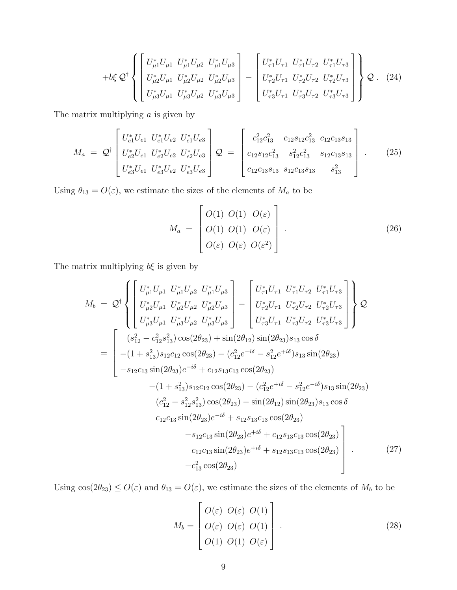$$
+b\xi \mathcal{Q}^{\dagger}\left\{\begin{bmatrix} U_{\mu1}^{*}U_{\mu1} & U_{\mu1}^{*}U_{\mu2} & U_{\mu1}^{*}U_{\mu3} \\ U_{\mu2}^{*}U_{\mu1} & U_{\mu2}^{*}U_{\mu2} & U_{\mu2}^{*}U_{\mu3} \\ U_{\mu3}^{*}U_{\mu1} & U_{\mu3}^{*}U_{\mu2} & U_{\mu3}^{*}U_{\mu3} \end{bmatrix} - \begin{bmatrix} U_{\tau1}^{*}U_{\tau1} & U_{\tau1}^{*}U_{\tau2} & U_{\tau1}^{*}U_{\tau3} \\ U_{\tau2}^{*}U_{\tau1} & U_{\tau2}^{*}U_{\tau2} & U_{\tau2}^{*}U_{\tau3} \\ U_{\tau3}^{*}U_{\tau1} & U_{\tau3}^{*}U_{\tau2} & U_{\tau3}^{*}U_{\tau3} \end{bmatrix}\right\} Q. (24)
$$

The matrix multiplying  $a$  is given by

$$
M_a = \mathcal{Q}^{\dagger} \begin{bmatrix} U_{e1}^* U_{e1} & U_{e1}^* U_{e2} & U_{e1}^* U_{e3} \\ U_{e2}^* U_{e1} & U_{e2}^* U_{e2} & U_{e2}^* U_{e3} \\ U_{e3}^* U_{e1} & U_{e3}^* U_{e2} & U_{e3}^* U_{e3} \end{bmatrix} \mathcal{Q} = \begin{bmatrix} c_{12}^2 c_{13}^2 & c_{12} s_{12} c_{13}^2 & c_{12} c_{13} s_{13} \\ c_{12} s_{12} c_{13}^2 & s_{12}^2 c_{13}^2 & s_{12} c_{13} s_{13} \\ c_{12} c_{13} s_{13} & s_{12} c_{13} s_{13} & s_{13}^2 \end{bmatrix} . \tag{25}
$$

Using  $\theta_{13} = O(\varepsilon)$ , we estimate the sizes of the elements of  $M_a$  to be

$$
M_a = \begin{bmatrix} O(1) & O(1) & O(\varepsilon) \\ O(1) & O(1) & O(\varepsilon) \\ O(\varepsilon) & O(\varepsilon) & O(\varepsilon^2) \end{bmatrix} . \tag{26}
$$

The matrix multiplying  $b\xi$  is given by

$$
M_{b} = Q^{\dagger} \left\{ \begin{bmatrix} U_{\mu 1}^{*} U_{\mu 1} U_{\mu 2}^{*} U_{\mu 1}^{*} U_{\mu 3} \\ U_{\mu 2}^{*} U_{\mu 1} U_{\mu 2}^{*} U_{\mu 3}^{*} U_{\mu 3} \\ U_{\mu 3}^{*} U_{\mu 1} U_{\mu 3}^{*} U_{\mu 2} U_{\mu 3}^{*} U_{\mu 3} \end{bmatrix} - \begin{bmatrix} U_{\tau 1}^{*} U_{\tau 1} U_{\tau 1}^{*} U_{\tau 2} U_{\tau 1}^{*} U_{\tau 3} \\ U_{\tau 2}^{*} U_{\tau 1} U_{\tau 2}^{*} U_{\tau 2} U_{\tau 3}^{*} U_{\tau 3} \end{bmatrix} \right\} Q
$$
  
\n
$$
= \begin{bmatrix} (s_{12}^{2} - c_{12}^{2} s_{13}^{2}) \cos(2\theta_{23}) + \sin(2\theta_{12}) \sin(2\theta_{23}) s_{13} \cos \delta \\ -(1 + s_{13}^{2}) s_{12} c_{12} \cos(2\theta_{23}) - (c_{12}^{2} e^{-i\delta} - s_{12}^{2} e^{+i\delta}) s_{13} \sin(2\theta_{23}) \\ -s_{12} c_{13} \sin(2\theta_{23}) e^{-i\delta} + c_{12} s_{13} c_{13} \cos(2\theta_{23}) - (c_{12}^{2} e^{+i\delta} - s_{12}^{2} e^{-i\delta}) s_{13} \sin(2\theta_{23}) \\ (c_{12}^{2} - s_{12}^{2} s_{13}^{2}) \cos(2\theta_{23}) - (c_{12}^{2} e^{+i\delta} - s_{12}^{2} e^{-i\delta}) s_{13} \sin(2\theta_{23}) \\ (c_{12}^{2} - s_{12}^{2} s_{13}^{2}) \cos(2\theta_{23}) - \sin(2\theta_{12}) \sin(2\theta_{23}) s_{13} \cos \delta \\ c_{12} c_{13} \sin(2\theta_{23}) e^{-i\delta} + s_{12} s_{13} c_{13} \cos(2\theta_{23}) -
$$

Using  $cos(2\theta_{23}) \leq O(\varepsilon)$  and  $\theta_{13} = O(\varepsilon)$ , we estimate the sizes of the elements of  $M_b$  to be

$$
M_b = \begin{bmatrix} O(\varepsilon) & O(\varepsilon) & O(1) \\ O(\varepsilon) & O(\varepsilon) & O(1) \\ O(1) & O(1) & O(\varepsilon) \end{bmatrix} .
$$
 (28)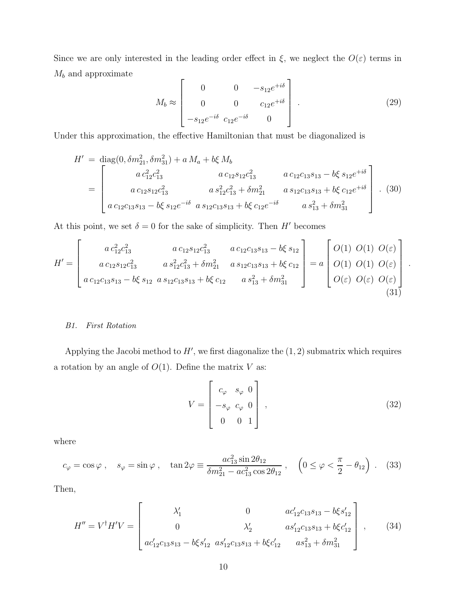Since we are only interested in the leading order effect in  $\xi$ , we neglect the  $O(\varepsilon)$  terms in  $\mathcal{M}_b$  and approximate  $\mathbf{r}$  $\overline{\mathbf{1}}$ 

$$
M_b \approx \begin{bmatrix} 0 & 0 & -s_{12}e^{+i\delta} \\ 0 & 0 & c_{12}e^{+i\delta} \\ -s_{12}e^{-i\delta} & c_{12}e^{-i\delta} & 0 \end{bmatrix} . \tag{29}
$$

Under this approximation, the effective Hamiltonian that must be diagonalized is

$$
H' = \text{diag}(0, \delta m_{21}^2, \delta m_{31}^2) + a M_a + b \xi M_b
$$
  
= 
$$
\begin{bmatrix} a c_{12}^2 c_{13}^2 & a c_{12} s_{12} c_{13}^2 & a c_{12} c_{13} s_{13} - b \xi s_{12} e^{+i\delta} \\ a c_{12} s_{12} c_{13}^2 & a s_{12}^2 c_{13}^2 + \delta m_{21}^2 & a s_{12} c_{13} s_{13} + b \xi c_{12} e^{+i\delta} \\ a c_{12} c_{13} s_{13} - b \xi s_{12} e^{-i\delta} & a s_{12} c_{13} s_{13} + b \xi c_{12} e^{-i\delta} & a s_{13}^2 + \delta m_{31}^2 \end{bmatrix} . (30)
$$

At this point, we set  $\delta = 0$  for the sake of simplicity. Then H' becomes

$$
H' = \begin{bmatrix} a \, c_{12}^2 c_{13}^2 & a \, c_{12} s_{12} c_{13}^2 & a \, c_{12} c_{13} s_{13} - b \xi \, s_{12} \\ a \, c_{12} s_{12} c_{13}^2 & a \, s_{12}^2 c_{13}^2 + \delta m_{21}^2 & a \, s_{12} c_{13} s_{13} + b \xi \, c_{12} \\ a \, c_{12} c_{13} s_{13} - b \xi \, s_{12} & a \, s_{12} c_{13} s_{13} + b \xi \, c_{12} & a \, s_{13}^2 + \delta m_{31}^2 \end{bmatrix} = a \begin{bmatrix} O(1) \ O(1) \ O(\varepsilon) \\ O(1) \ O(1) \ O(\varepsilon) \\ O(\varepsilon) \ O(\varepsilon) \end{bmatrix} \tag{31}
$$

# B1. First Rotation

 $\overline{a}$ 

Applying the Jacobi method to  $H'$ , we first diagonalize the  $(1, 2)$  submatrix which requires a rotation by an angle of  $O(1)$ . Define the matrix V as:

$$
V = \begin{bmatrix} c_{\varphi} & s_{\varphi} & 0 \\ -s_{\varphi} & c_{\varphi} & 0 \\ 0 & 0 & 1 \end{bmatrix},
$$
 (32)

.

where

$$
c_{\varphi} = \cos \varphi \;, \quad s_{\varphi} = \sin \varphi \;, \quad \tan 2\varphi \equiv \frac{ac_{13}^2 \sin 2\theta_{12}}{\delta m_{21}^2 - ac_{13}^2 \cos 2\theta_{12}} \;, \quad \left(0 \le \varphi < \frac{\pi}{2} - \theta_{12}\right) \;. \tag{33}
$$

Then,

$$
H'' = V^{\dagger} H' V = \begin{bmatrix} \lambda'_1 & 0 & ac'_{12}c_{13}s_{13} - b\xi s'_{12} \\ 0 & \lambda'_2 & as'_{12}c_{13}s_{13} + b\xi c'_{12} \\ ac'_{12}c_{13}s_{13} - b\xi s'_{12} & as'_{12}c_{13}s_{13} + b\xi c'_{12} & as^2_{13} + \delta m^2_{31} \end{bmatrix},
$$
 (34)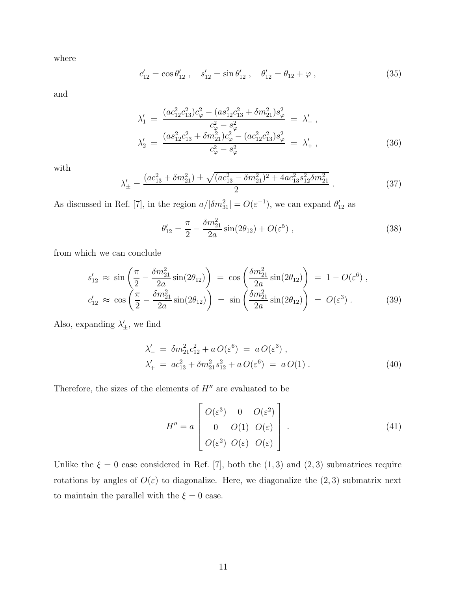where

$$
c'_{12} = \cos \theta'_{12} , \quad s'_{12} = \sin \theta'_{12} , \quad \theta'_{12} = \theta_{12} + \varphi , \qquad (35)
$$

and

$$
\lambda_1' = \frac{(ac_{12}^2 c_{13}^2)c_{\varphi}^2 - (as_{12}^2 c_{13}^2 + \delta m_{21}^2)s_{\varphi}^2}{c_{\varphi}^2 - s_{\varphi}^2} = \lambda_-' ,
$$
  
\n
$$
\lambda_2' = \frac{(as_{12}^2 c_{13}^2 + \delta m_{21}^2)c_{\varphi}^2 - (ac_{12}^2 c_{13}^2)s_{\varphi}^2}{c_{\varphi}^2 - s_{\varphi}^2} = \lambda_+' ,
$$
\n(36)

with

$$
\lambda'_{\pm} = \frac{(ac_{13}^2 + \delta m_{21}^2) \pm \sqrt{(ac_{13}^2 - \delta m_{21}^2)^2 + 4ac_{13}^2 s_{12}^2 \delta m_{21}^2}}{2} \,. \tag{37}
$$

As discussed in Ref. [7], in the region  $a/|\delta m_{31}^2| = O(\varepsilon^{-1})$ , we can expand  $\theta'_{12}$  as

$$
\theta'_{12} = \frac{\pi}{2} - \frac{\delta m_{21}^2}{2a} \sin(2\theta_{12}) + O(\varepsilon^5) , \qquad (38)
$$

from which we can conclude

$$
s'_{12} \approx \sin\left(\frac{\pi}{2} - \frac{\delta m_{21}^2}{2a}\sin(2\theta_{12})\right) = \cos\left(\frac{\delta m_{21}^2}{2a}\sin(2\theta_{12})\right) = 1 - O(\varepsilon^6),
$$
  

$$
c'_{12} \approx \cos\left(\frac{\pi}{2} - \frac{\delta m_{21}^2}{2a}\sin(2\theta_{12})\right) = \sin\left(\frac{\delta m_{21}^2}{2a}\sin(2\theta_{12})\right) = O(\varepsilon^3).
$$
 (39)

Also, expanding  $\lambda'_{\pm}$ , we find

$$
\lambda'_{-} = \delta m_{21}^{2} c_{12}^{2} + a O(\varepsilon^{6}) = a O(\varepsilon^{3}), \n\lambda'_{+} = a c_{13}^{2} + \delta m_{21}^{2} s_{12}^{2} + a O(\varepsilon^{6}) = a O(1).
$$
\n(40)

Therefore, the sizes of the elements of  $H''$  are evaluated to be

$$
H'' = a \begin{bmatrix} O(\varepsilon^3) & 0 & O(\varepsilon^2) \\ 0 & O(1) & O(\varepsilon) \\ O(\varepsilon^2) & O(\varepsilon) & O(\varepsilon) \end{bmatrix} . \tag{41}
$$

Unlike the  $\xi = 0$  case considered in Ref. [7], both the  $(1, 3)$  and  $(2, 3)$  submatrices require rotations by angles of  $O(\varepsilon)$  to diagonalize. Here, we diagonalize the  $(2,3)$  submatrix next to maintain the parallel with the  $\xi=0$  case.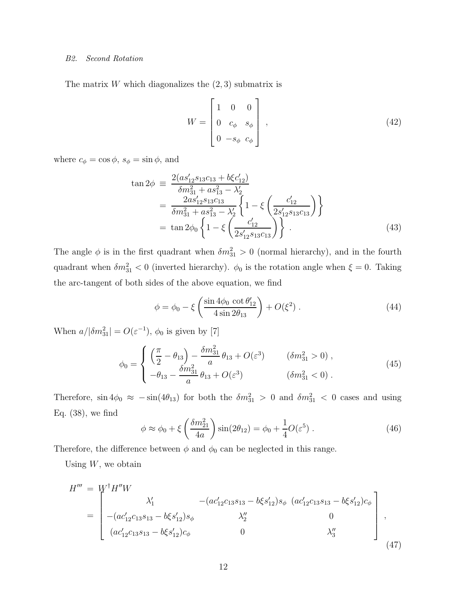# B2. Second Rotation

The matrix W which diagonalizes the  $(2, 3)$  submatrix is

$$
W = \begin{bmatrix} 1 & 0 & 0 \\ 0 & c_{\phi} & s_{\phi} \\ 0 & -s_{\phi} & c_{\phi} \end{bmatrix},
$$
(42)

where  $c_{\phi} = \cos \phi$ ,  $s_{\phi} = \sin \phi$ , and

$$
\tan 2\phi = \frac{2(as'_{12}s_{13}c_{13} + b\xi c'_{12})}{\delta m_{31}^2 + as_{13}^2 - \lambda'_{2}}
$$
  
= 
$$
\frac{2as'_{12}s_{13}c_{13}}{\delta m_{31}^2 + as_{13}^2 - \lambda'_{2}} \left\{ 1 - \xi \left( \frac{c'_{12}}{2s'_{12}s_{13}c_{13}} \right) \right\}
$$
  
= 
$$
\tan 2\phi_{0} \left\{ 1 - \xi \left( \frac{c'_{12}}{2s'_{12}s_{13}c_{13}} \right) \right\}.
$$
 (43)

The angle  $\phi$  is in the first quadrant when  $\delta m_{31}^2 > 0$  (normal hierarchy), and in the fourth quadrant when  $\delta m_{31}^2 < 0$  (inverted hierarchy).  $\phi_0$  is the rotation angle when  $\xi = 0$ . Taking the arc-tangent of both sides of the above equation, we find

$$
\phi = \phi_0 - \xi \left( \frac{\sin 4\phi_0 \cot \theta_{12}'}{4 \sin 2\theta_{13}} \right) + O(\xi^2) . \tag{44}
$$

When  $a/|\delta m_{31}^2| = O(\varepsilon^{-1}), \phi_0$  is given by [7]

$$
\phi_0 = \begin{cases}\n\left(\frac{\pi}{2} - \theta_{13}\right) - \frac{\delta m_{31}^2}{a} \theta_{13} + O(\varepsilon^3) & (\delta m_{31}^2 > 0), \\
-\theta_{13} - \frac{\delta m_{31}^2}{a} \theta_{13} + O(\varepsilon^3) & (\delta m_{31}^2 < 0).\n\end{cases}
$$
\n(45)

Therefore,  $\sin 4\phi_0 \approx -\sin(4\theta_{13})$  for both the  $\delta m_{31}^2 > 0$  and  $\delta m_{31}^2 < 0$  cases and using Eq.  $(38)$ , we find

$$
\phi \approx \phi_0 + \xi \left(\frac{\delta m_{21}^2}{4a}\right) \sin(2\theta_{12}) = \phi_0 + \frac{1}{4}O(\varepsilon^5) . \tag{46}
$$

Therefore, the difference between  $\phi$  and  $\phi_0$  can be neglected in this range.

Using  $W$ , we obtain

$$
H''' = W^{\dagger} H''W
$$
  
= 
$$
\begin{bmatrix} \lambda_1' & -(ac'_{12}c_{13}s_{13} - b\xi s'_{12})s_{\phi} & (ac'_{12}c_{13}s_{13} - b\xi s'_{12})c_{\phi} \\ -(ac'_{12}c_{13}s_{13} - b\xi s'_{12})s_{\phi} & \lambda_2'' & 0 \\ (ac'_{12}c_{13}s_{13} - b\xi s'_{12})c_{\phi} & 0 & \lambda_3'' \end{bmatrix},
$$
  
(47)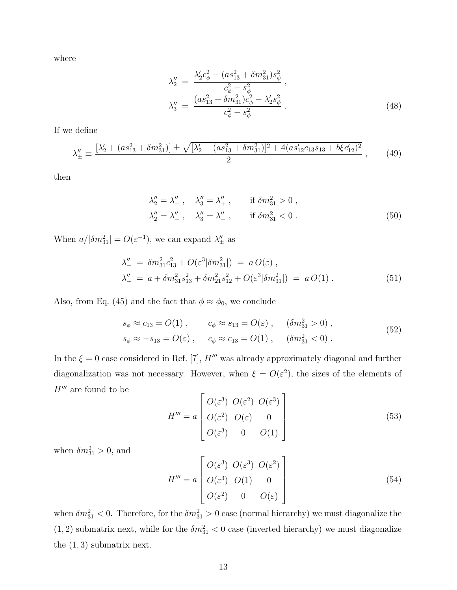where

$$
\lambda_2'' = \frac{\lambda_2' c_\phi^2 - (as_{13}^2 + \delta m_{31}^2) s_\phi^2}{c_\phi^2 - s_\phi^2},
$$
  

$$
\lambda_3'' = \frac{(as_{13}^2 + \delta m_{31}^2) c_\phi^2 - \lambda_2' s_\phi^2}{c_\phi^2 - s_\phi^2}.
$$
 (48)

If we define

$$
\lambda_{\pm}'' \equiv \frac{[\lambda_2' + (as_{13}^2 + \delta m_{31}^2)] \pm \sqrt{[\lambda_2' - (as_{13}^2 + \delta m_{31}^2)]^2 + 4(as_{12}'c_{13}s_{13} + b\xi c_{12}')^2}}{2},\qquad(49)
$$

then

$$
\lambda_2'' = \lambda_-' , \quad \lambda_3'' = \lambda_+' , \quad \text{if } \delta m_{31}^2 > 0 ,
$$
  

$$
\lambda_2'' = \lambda_+' , \quad \lambda_3'' = \lambda_-' , \quad \text{if } \delta m_{31}^2 < 0 .
$$
 (50)

When  $a/|\delta m_{31}^2| = O(\varepsilon^{-1})$ , we can expand  $\lambda''_{\pm}$  as

$$
\lambda''_{-} = \delta m_{31}^{2} c_{13}^{2} + O(\varepsilon^{3} |\delta m_{31}^{2}|) = a O(\varepsilon) ,
$$
  
\n
$$
\lambda''_{+} = a + \delta m_{31}^{2} s_{13}^{2} + \delta m_{21}^{2} s_{12}^{2} + O(\varepsilon^{3} |\delta m_{31}^{2}|) = a O(1) .
$$
\n(51)

Also, from Eq. (45) and the fact that  $\phi \approx \phi_0$ , we conclude

$$
s_{\phi} \approx c_{13} = O(1) , \qquad c_{\phi} \approx s_{13} = O(\varepsilon) , \qquad (\delta m_{31}^2 > 0) ,
$$
  
\n
$$
s_{\phi} \approx -s_{13} = O(\varepsilon) , \qquad c_{\phi} \approx c_{13} = O(1) , \qquad (\delta m_{31}^2 < 0) .
$$
 (52)

In the  $\xi = 0$  case considered in Ref. [7],  $H'''$  was already approximately diagonal and further diagonalization was not necessary. However, when  $\xi = O(\varepsilon^2)$ , the sizes of the elements of  $H^{\prime\prime\prime}$  are found to be

$$
H''' = a \begin{bmatrix} O(\varepsilon^3) & O(\varepsilon^2) & O(\varepsilon^3) \\ O(\varepsilon^2) & O(\varepsilon) & 0 \\ O(\varepsilon^3) & 0 & O(1) \end{bmatrix}
$$
 (53)

when  $\delta m_{31}^2 > 0$ , and

$$
H''' = a \begin{bmatrix} O(\varepsilon^3) & O(\varepsilon^3) & O(\varepsilon^2) \\ O(\varepsilon^3) & O(1) & 0 \\ O(\varepsilon^2) & 0 & O(\varepsilon) \end{bmatrix}
$$
 (54)

when  $\delta m_{31}^2 < 0$ . Therefore, for the  $\delta m_{31}^2 > 0$  case (normal hierarchy) we must diagonalize the  $(1, 2)$  submatrix next, while for the  $\delta m_{31}^2 < 0$  case (inverted hierarchy) we must diagonalize the  $(1, 3)$  submatrix next.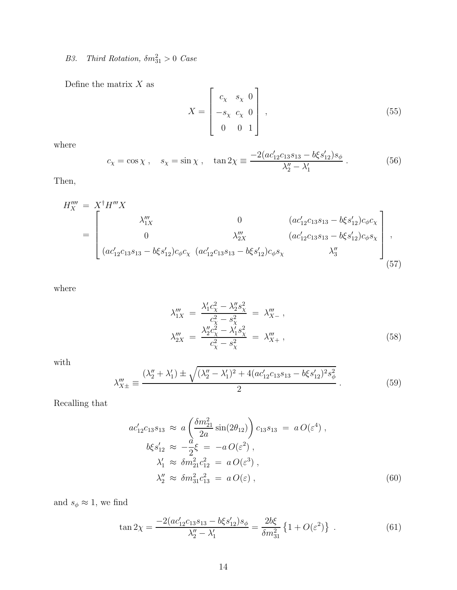# B3. Third Rotation,  $\delta m_{31}^2 > 0$  Case

Define the matrix  $\boldsymbol{X}$  as

$$
X = \begin{bmatrix} c_{\chi} & s_{\chi} & 0 \\ -s_{\chi} & c_{\chi} & 0 \\ 0 & 0 & 1 \end{bmatrix},
$$
\n(55)

where

$$
c_{\chi} = \cos \chi \,, \quad s_{\chi} = \sin \chi \,, \quad \tan 2\chi \equiv \frac{-2(ac'_{12}c_{13}s_{13} - b\xi s'_{12})s_{\phi}}{\lambda_2'' - \lambda_1'} \,. \tag{56}
$$

Then,

$$
H_X''' = X^{\dagger} H''' X
$$
  
= 
$$
\begin{bmatrix} \lambda_{1X}''' & 0 & (ac'_{12}c_{13}s_{13} - b\xi s'_{12})c_{\phi}c_{\chi} \\ 0 & \lambda_{2X}''' & (ac'_{12}c_{13}s_{13} - b\xi s'_{12})c_{\phi}s_{\chi} \\ (ac'_{12}c_{13}s_{13} - b\xi s'_{12})c_{\phi}c_{\chi} & (ac'_{12}c_{13}s_{13} - b\xi s'_{12})c_{\phi}s_{\chi} & \lambda_3'' \end{bmatrix},
$$
  
(57)

where

$$
\lambda_{1X}''' = \frac{\lambda_1' c_\chi^2 - \lambda_2'' s_\chi^2}{c_\chi^2 - s_\chi^2} = \lambda_{X-}''' ,
$$
  

$$
\lambda_{2X}''' = \frac{\lambda_2'' c_\chi^2 - \lambda_1' s_\chi^2}{c_\chi^2 - s_\chi^2} = \lambda_{X+}''' ,
$$
 (58)

with

$$
\lambda_{X\pm}''' \equiv \frac{(\lambda_2'' + \lambda_1') \pm \sqrt{(\lambda_2'' - \lambda_1')^2 + 4(ac_{12}'c_{13}s_{13} - b\xi s_{12}')^2 s_{\phi}^2}}{2} \,. \tag{59}
$$

Recalling that

$$
ac'_{12}c_{13}s_{13} \approx a \left(\frac{\delta m_{21}^2}{2a}\sin(2\theta_{12})\right)c_{13}s_{13} = a O(\varepsilon^4) ,\n b\xi s'_{12} \approx -\frac{a}{2}\xi = -a O(\varepsilon^2) ,\n \lambda'_{1} \approx \delta m_{21}^2 c_{12}^2 = a O(\varepsilon^3) ,\n \lambda''_{2} \approx \delta m_{31}^2 c_{13}^2 = a O(\varepsilon) ,
$$
\n(60)

and  $s_\phi \approx$  1, we find

$$
\tan 2\chi = \frac{-2(ac'_{12}c_{13}s_{13} - b\xi s'_{12})s_{\phi}}{\lambda''_{2} - \lambda'_{1}} = \frac{2b\xi}{\delta m_{31}^{2}} \left\{ 1 + O(\varepsilon^{2}) \right\} . \tag{61}
$$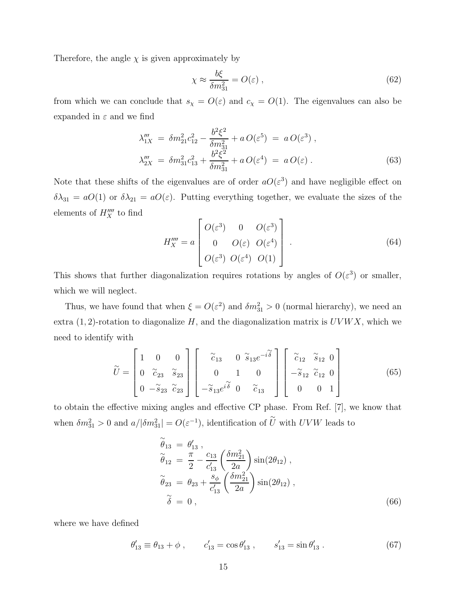Therefore, the angle  $\chi$  is given approximately by

$$
\chi \approx \frac{b\xi}{\delta m_{31}^2} = O(\varepsilon) \,, \tag{62}
$$

from which we can conclude that  $s_{\chi} = O(\varepsilon)$  and  $c_{\chi} = O(1)$ . The eigenvalues can also be expanded in  $\varepsilon$  and we find

$$
\lambda_{1X}''' = \delta m_{21}^2 c_{12}^2 - \frac{b^2 \xi^2}{\delta m_{31}^2} + a \, O(\varepsilon^5) = a \, O(\varepsilon^3) \,,
$$
  
\n
$$
\lambda_{2X}''' = \delta m_{31}^2 c_{13}^2 + \frac{b^2 \xi^2}{\delta m_{31}^2} + a \, O(\varepsilon^4) = a \, O(\varepsilon) \,.
$$
\n(63)

Note that these shifts of the eigenvalues are of order  $aO(\varepsilon^3)$  and have negligible effect on  $\delta\lambda_{31} = aO(1)$  or  $\delta\lambda_{21} = aO(\varepsilon)$ . Putting everything together, we evaluate the sizes of the elements of  $H_{X}^{\prime\prime\prime\prime}$  to find

$$
H_X'''' = a \begin{bmatrix} O(\varepsilon^3) & 0 & O(\varepsilon^3) \\ 0 & O(\varepsilon) & O(\varepsilon^4) \\ O(\varepsilon^3) & O(\varepsilon^4) & O(1) \end{bmatrix} . \tag{64}
$$

This shows that further diagonalization requires rotations by angles of  $O(\varepsilon^3)$  or smaller, which we will neglect.

Thus, we have found that when  $\xi = O(\varepsilon^2)$  and  $\delta m_{31}^2 > 0$  (normal hierarchy), we need an extra  $(1, 2)$ -rotation to diagonalize H, and the diagonalization matrix is  $UVWX$ , which we need to identify with

$$
\widetilde{U} = \begin{bmatrix} 1 & 0 & 0 \\ 0 & \widetilde{c}_{23} & \widetilde{s}_{23} \\ 0 & -\widetilde{s}_{23} & \widetilde{c}_{23} \end{bmatrix} \begin{bmatrix} \widetilde{c}_{13} & 0 & \widetilde{s}_{13}e^{-i\widetilde{\delta}} \\ 0 & 1 & 0 \\ -\widetilde{s}_{13}e^{i\widetilde{\delta}} & 0 & \widetilde{c}_{13} \end{bmatrix} \begin{bmatrix} \widetilde{c}_{12} & \widetilde{s}_{12} & 0 \\ -\widetilde{s}_{12} & \widetilde{c}_{12} & 0 \\ 0 & 0 & 1 \end{bmatrix}
$$
(65)

to obtain the effective mixing angles and effective CP phase. From Ref. [7], we know that when  $\delta m_{31}^2 > 0$  and  $a/|\delta m_{31}^2| = O(\varepsilon^{-1})$ , identification of  $\widetilde{U}$  with  $UVW$  leads to

$$
\begin{aligned}\n\widetilde{\theta}_{13} &= \theta'_{13} ,\\ \n\widetilde{\theta}_{12} &= \frac{\pi}{2} - \frac{c_{13}}{c'_{13}} \left( \frac{\delta m_{21}^2}{2a} \right) \sin(2\theta_{12}) ,\\ \n\widetilde{\theta}_{23} &= \theta_{23} + \frac{s_{\phi}}{c'_{13}} \left( \frac{\delta m_{21}^2}{2a} \right) \sin(2\theta_{12}) ,\\ \n\widetilde{\delta} &= 0 ,\n\end{aligned}
$$
\n(66)

where we have defined

$$
\theta'_{13} \equiv \theta_{13} + \phi , \qquad c'_{13} = \cos \theta'_{13} , \qquad s'_{13} = \sin \theta'_{13} . \tag{67}
$$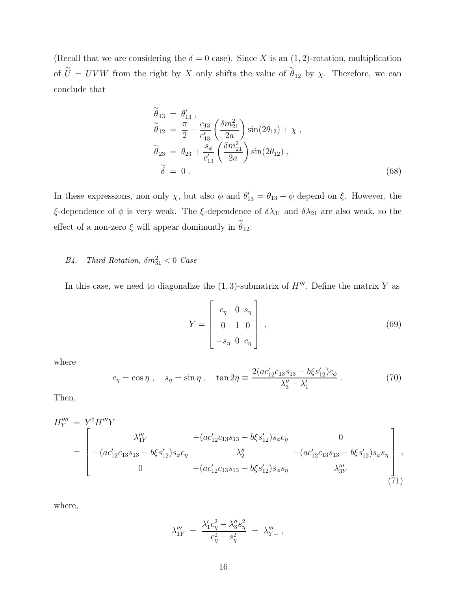(Recall that we are considering the  $\delta = 0$  case). Since X is an  $(1, 2)$ -rotation, multiplication of  $\tilde{U} = UVW$  from the right by X only shifts the value of  $\tilde{\theta}_{12}$  by  $\chi$ . Therefore, we can conclude that

$$
\begin{aligned}\n\widetilde{\theta}_{13} &= \theta'_{13} , \\
\widetilde{\theta}_{12} &= \frac{\pi}{2} - \frac{c_{13}}{c'_{13}} \left( \frac{\delta m_{21}^2}{2a} \right) \sin(2\theta_{12}) + \chi , \\
\widetilde{\theta}_{23} &= \theta_{23} + \frac{s_{\phi}}{c'_{13}} \left( \frac{\delta m_{21}^2}{2a} \right) \sin(2\theta_{12}) , \\
\widetilde{\delta} &= 0 .\n\end{aligned}
$$
\n(68)

In these expressions, non only  $\chi$ , but also  $\phi$  and  $\theta'_{13} = \theta_{13} + \phi$  depend on  $\xi$ . However, the ξ-dependence of  $\phi$  is very weak. The ξ-dependence of  $\delta\lambda_{31}$  and  $\delta\lambda_{21}$  are also weak, so the effect of a non-zero  $\xi$  will appear dominantly in  $\stackrel{\sim}{\theta}_{12}$ .

# B4. Third Rotation,  $\delta m_{31}^2 < 0$  Case

In this case, we need to diagonalize the  $(1, 3)$ -submatrix of  $H'''$ . Define the matrix Y as

$$
Y = \begin{bmatrix} c_{\eta} & 0 & s_{\eta} \\ 0 & 1 & 0 \\ -s_{\eta} & 0 & c_{\eta} \end{bmatrix},
$$
 (69)

where

$$
c_{\eta} = \cos \eta \;, \quad s_{\eta} = \sin \eta \;, \quad \tan 2\eta \equiv \frac{2(a c'_{12} c_{13} s_{13} - b \xi s'_{12}) c_{\phi}}{\lambda_3'' - \lambda_1'} \;. \tag{70}
$$

Then,

$$
H_{Y}^{\prime\prime\prime} = Y^{\dagger} H^{\prime\prime\prime} Y
$$
  
= 
$$
\begin{bmatrix} \lambda_{1Y}^{\prime\prime} & -(ac'_{12}c_{13}s_{13} - b\xi s'_{12})s_{\phi}c_{\eta} & 0 \\ -(ac'_{12}c_{13}s_{13} - b\xi s'_{12})s_{\phi}c_{\eta} & \lambda_{2}^{\prime\prime} & -(ac'_{12}c_{13}s_{13} - b\xi s'_{12})s_{\phi}s_{\eta} \\ 0 & -(ac'_{12}c_{13}s_{13} - b\xi s'_{12})s_{\phi}s_{\eta} & \lambda_{3Y}^{\prime\prime} \end{bmatrix},
$$
  
(71)

where,

$$
\lambda_{1Y}''' = \frac{\lambda_1' c_\eta^2 - \lambda_3'' s_\eta^2}{c_\eta^2 - s_\eta^2} = \lambda_{Y+}''' ,
$$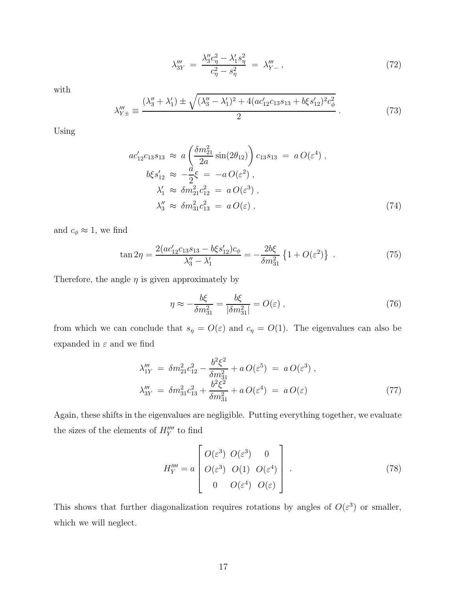$$
\lambda_{3Y}''' = \frac{\lambda_3'' c_\eta^2 - \lambda_1' s_\eta^2}{c_\eta^2 - s_\eta^2} = \lambda_{Y-}''' \tag{72}
$$

with

$$
\lambda_{Y\pm}''' \equiv \frac{(\lambda_3'' + \lambda_1') \pm \sqrt{(\lambda_3'' - \lambda_1')^2 + 4(ac_{12}'c_{13}s_{13} + b\xi s_{12}')^2 c_{\phi}^2}}{2} \,. \tag{73}
$$

Using

$$
ac'_{12}c_{13}s_{13} \approx a \left(\frac{\delta m_{21}^2}{2a}\sin(2\theta_{12})\right)c_{13}s_{13} = a O(\varepsilon^4) ,\n b\xi s'_{12} \approx -\frac{a}{2}\xi = -a O(\varepsilon^2) ,\n \lambda'_{1} \approx \delta m_{21}^2 c_{12}^2 = a O(\varepsilon^3) ,\n \lambda''_{3} \approx \delta m_{31}^2 c_{13}^2 = a O(\varepsilon) ,
$$
\n(74)

and  $c_{\phi} \approx 1$ , we find

$$
\tan 2\eta = \frac{2(ac'_{12}c_{13}s_{13} - b\xi s'_{12})c_{\phi}}{\lambda_3'' - \lambda_1'} = -\frac{2b\xi}{\delta m_{31}^2} \left\{ 1 + O(\varepsilon^2) \right\} \ . \tag{75}
$$

Therefore, the angle  $\eta$  is given approximately by

$$
\eta \approx -\frac{b\xi}{\delta m_{31}^2} = \frac{b\xi}{|\delta m_{31}^2|} = O(\varepsilon) ,\qquad (76)
$$

from which we can conclude that  $s_{\eta} = O(\varepsilon)$  and  $c_{\eta} = O(1)$ . The eigenvalues can also be expanded in  $\varepsilon$  and we find

$$
\lambda_{1Y}''' = \delta m_{21}^2 c_{12}^2 - \frac{b^2 \xi^2}{\delta m_{31}^2} + a \, O(\varepsilon^5) = a \, O(\varepsilon^3) ,
$$
\n
$$
\lambda_{3Y}''' = \delta m_{31}^2 c_{13}^2 + \frac{b^2 \xi^2}{\delta m_{31}^2} + a \, O(\varepsilon^4) = a \, O(\varepsilon) \tag{77}
$$

Again, these shifts in the eigenvalues are negligible. Putting everything together, we evaluate the sizes of the elements of  $H_{Y}^{\prime\prime\prime\prime}$  to find

$$
H_{Y}^{\prime \prime \prime \prime} = a \begin{bmatrix} O(\varepsilon^3) & O(\varepsilon^3) & 0 \\ O(\varepsilon^3) & O(1) & O(\varepsilon^4) \\ 0 & O(\varepsilon^4) & O(\varepsilon) \end{bmatrix} . \tag{78}
$$

This shows that further diagonalization requires rotations by angles of  $O(\varepsilon^3)$  or smaller, which we will neglect.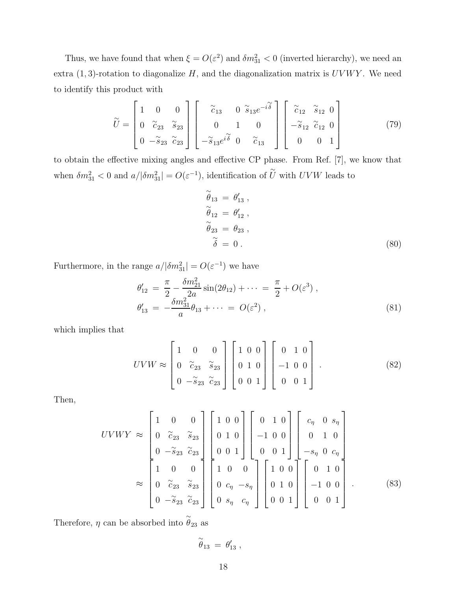Thus, we have found that when  $\xi = O(\varepsilon^2)$  and  $\delta m_{31}^2 < 0$  (inverted hierarchy), we need an extra  $(1, 3)$ -rotation to diagonalize H, and the diagonalization matrix is  $UVWY$ . We need to identify this product with

$$
\widetilde{U} = \begin{bmatrix} 1 & 0 & 0 \\ 0 & \widetilde{c}_{23} & \widetilde{s}_{23} \\ 0 & -\widetilde{s}_{23} & \widetilde{c}_{23} \end{bmatrix} \begin{bmatrix} \widetilde{c}_{13} & 0 & \widetilde{s}_{13}e^{-i\widetilde{\delta}} \\ 0 & 1 & 0 \\ -\widetilde{s}_{13}e^{i\widetilde{\delta}} & 0 & \widetilde{c}_{13} \end{bmatrix} \begin{bmatrix} \widetilde{c}_{12} & \widetilde{s}_{12} & 0 \\ -\widetilde{s}_{12} & \widetilde{c}_{12} & 0 \\ 0 & 0 & 1 \end{bmatrix}
$$
(79)

to obtain the effective mixing angles and effective CP phase. From Ref. [7], we know that when  $\delta m_{31}^2 < 0$  and  $a/|\delta m_{31}^2| = O(\varepsilon^{-1})$ , identification of  $\widetilde{U}$  with  $UVW$  leads to

$$
\begin{aligned}\n\widetilde{\theta}_{13} &= \theta'_{13} ,\\ \n\widetilde{\theta}_{12} &= \theta'_{12} ,\\ \n\widetilde{\theta}_{23} &= \theta_{23} ,\\ \n\widetilde{\delta} &= 0 .\n\end{aligned}
$$
\n(80)

Furthermore, in the range  $a/|\delta m_{31}^2| = O(\varepsilon^{-1})$  we have

$$
\begin{aligned}\n\theta'_{12} &= \frac{\pi}{2} - \frac{\delta m_{21}^2}{2a} \sin(2\theta_{12}) + \dots = \frac{\pi}{2} + O(\varepsilon^3) ,\\
\theta'_{13} &= -\frac{\delta m_{31}^2}{a} \theta_{13} + \dots = O(\varepsilon^2) ,\n\end{aligned} \tag{81}
$$

which implies that

$$
UVW \approx \begin{bmatrix} 1 & 0 & 0 \\ 0 & \widetilde{c}_{23} & \widetilde{s}_{23} \\ 0 & -\widetilde{s}_{23} & \widetilde{c}_{23} \end{bmatrix} \begin{bmatrix} 1 & 0 & 0 \\ 0 & 1 & 0 \\ 0 & 0 & 1 \end{bmatrix} \begin{bmatrix} 0 & 1 & 0 \\ -1 & 0 & 0 \\ 0 & 0 & 1 \end{bmatrix} . \tag{82}
$$

Then,

$$
UVWY \approx \begin{bmatrix} 1 & 0 & 0 \\ 0 & \tilde{c}_{23} & \tilde{s}_{23} \\ 0 & -\tilde{s}_{23} & \tilde{c}_{23} \\ 1 & 0 & 0 \\ 0 & \tilde{c}_{23} & \tilde{s}_{23} \\ 0 & \tilde{c}_{23} & \tilde{s}_{23} \\ 0 & -\tilde{s}_{23} & \tilde{c}_{23} \end{bmatrix} \begin{bmatrix} 1 & 0 & 0 \\ 0 & 1 & 0 \\ 0 & 0 & 1 \end{bmatrix} \begin{bmatrix} 0 & 1 & 0 \\ -1 & 0 & 0 \\ 0 & 0 & 1 \end{bmatrix} \begin{bmatrix} c_{\eta} & 0 & s_{\eta} \\ 0 & 1 & 0 \\ -s_{\eta} & 0 & c_{\eta} \\ -s_{\eta} & 0 & c_{\eta} \\ 0 & 1 & 0 \\ 0 & 0 & 1 \end{bmatrix}
$$

$$
\approx \begin{bmatrix} 1 & 0 & 0 \\ 0 & \tilde{c}_{23} & \tilde{s}_{23} \\ 0 & -\tilde{s}_{23} & \tilde{c}_{23} \end{bmatrix} \begin{bmatrix} 1 & 0 & 0 \\ 0 & c_{\eta} & -s_{\eta} \\ 0 & s_{\eta} & c_{\eta} \end{bmatrix} \begin{bmatrix} 1 & 0 & 0 \\ 0 & 1 & 0 \\ 0 & 0 & 1 \end{bmatrix} \begin{bmatrix} 0 & 1 & 0 \\ -1 & 0 & 0 \\ 0 & 0 & 1 \end{bmatrix} . \tag{83}
$$

Therefore,  $\eta$  can be absorbed into  $\stackrel{\sim}{\theta}_{23}$  as

$$
\widetilde{\theta}_{13} = \theta'_{13} ,
$$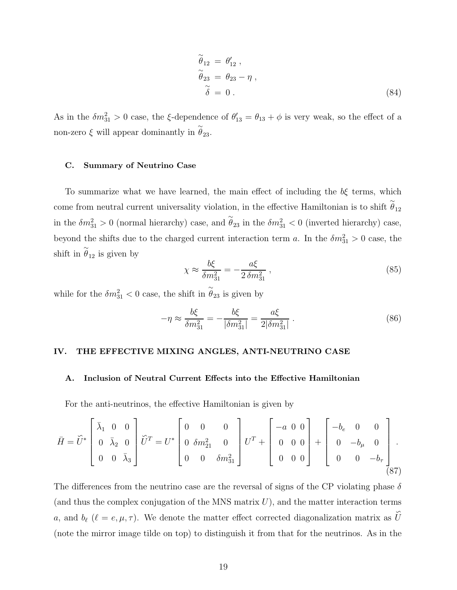$$
\begin{aligned}\n\widetilde{\theta}_{12} &= \theta'_{12} ,\\ \n\widetilde{\theta}_{23} &= \theta_{23} - \eta ,\\ \n\widetilde{\delta} &= 0 .\n\end{aligned} \tag{84}
$$

As in the  $\delta m_{31}^2 > 0$  case, the  $\xi$ -dependence of  $\theta'_{13} = \theta_{13} + \phi$  is very weak, so the effect of a non-zero  $\xi$  will appear dominantly in  $\stackrel{\sim}{\theta}_{23}$ .

# C. Summary of Neutrino Case

To summarize what we have learned, the main effect of including the  $b\xi$  terms, which come from neutral current universality violation, in the effective Hamiltonian is to shift  $\tilde{\theta}_{12}$ in the  $\delta m_{31}^2 > 0$  (normal hierarchy) case, and  $\tilde{\theta}_{23}$  in the  $\delta m_{31}^2 < 0$  (inverted hierarchy) case, beyond the shifts due to the charged current interaction term a. In the  $\delta m_{31}^2 > 0$  case, the shift in  $\tilde{\theta}_{12}$  is given by

$$
\chi \approx \frac{b\xi}{\delta m_{31}^2} = -\frac{a\xi}{2\,\delta m_{31}^2} \,,\tag{85}
$$

while for the  $\delta m_{31}^2 < 0$  case, the shift in  $\tilde{\theta}_{23}$  is given by

$$
-\eta \approx \frac{b\xi}{\delta m_{31}^2} = -\frac{b\xi}{|\delta m_{31}^2|} = \frac{a\xi}{2|\delta m_{31}^2|} \,. \tag{86}
$$

### IV. THE EFFECTIVE MIXING ANGLES, ANTI-NEUTRINO CASE

### A. Inclusion of Neutral Current Effects into the Effective Hamiltonian

For the anti-neutrinos, the effective Hamiltonian is given by

$$
\bar{H} = \tilde{U}^* \begin{bmatrix} \bar{\lambda}_1 & 0 & 0 \\ 0 & \bar{\lambda}_2 & 0 \\ 0 & 0 & \bar{\lambda}_3 \end{bmatrix} \tilde{U}^T = U^* \begin{bmatrix} 0 & 0 & 0 \\ 0 & \delta m_{21}^2 & 0 \\ 0 & 0 & \delta m_{31}^2 \end{bmatrix} U^T + \begin{bmatrix} -a & 0 & 0 \\ 0 & 0 & 0 \\ 0 & 0 & 0 \end{bmatrix} + \begin{bmatrix} -b_e & 0 & 0 \\ 0 & -b_\mu & 0 \\ 0 & 0 & -b_\tau \end{bmatrix}.
$$
\n(87)

The differences from the neutrino case are the reversal of signs of the CP violating phase  $\delta$ (and thus the complex conjugation of the MNS matrix  $U$ ), and the matter interaction terms a, and  $b_{\ell}$  ( $\ell = e, \mu, \tau$ ). We denote the matter effect corrected diagonalization matrix as ∽  $\mathcal{U}$ (note the mirror image tilde on top) to distinguish it from that for the neutrinos. As in the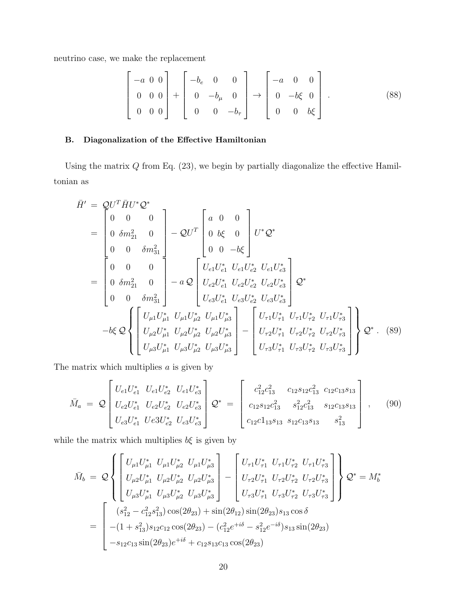neutrino case, we make the replacement

$$
\begin{bmatrix} -a & 0 & 0 \ 0 & 0 & 0 \ 0 & 0 & 0 \end{bmatrix} + \begin{bmatrix} -b_e & 0 & 0 \ 0 & -b_\mu & 0 \ 0 & 0 & -b_\tau \end{bmatrix} \rightarrow \begin{bmatrix} -a & 0 & 0 \ 0 & -b\xi & 0 \ 0 & 0 & b\xi \end{bmatrix} . \tag{88}
$$

# B. Diagonalization of the Effective Hamiltonian

Using the matrix  $Q$  from Eq.  $(23)$ , we begin by partially diagonalize the effective Hamiltonian as

$$
\bar{H}' = QU^T \bar{H}U^* Q^*
$$
\n
$$
= \begin{bmatrix}\n0 & 0 & 0 \\
0 & \delta m_{21}^2 & 0 \\
0 & 0 & \delta m_{31}^2\n\end{bmatrix} - QU^T \begin{bmatrix}\na & 0 & 0 \\
0 & b\xi & 0 \\
0 & 0 & -b\xi\n\end{bmatrix} U^* Q^*
$$
\n
$$
= \begin{bmatrix}\n0 & 0 & 0 \\
0 & \delta m_{21}^2 & 0 \\
0 & 0 & \delta m_{31}^2\n\end{bmatrix} - a Q \begin{bmatrix}\nU_{e1}U_{e1}^* & U_{e1}U_{e2}^* & U_{e1}U_{e3}^* \\
U_{e2}U_{e1}^* & U_{e2}U_{e2}^* & U_{e2}U_{e3}^* \\
U_{e3}U_{e1}^* & U_{e3}U_{e2}^* & U_{e3}U_{e3}^*\n\end{bmatrix} Q^*
$$
\n
$$
-b\xi Q \begin{bmatrix}\nU_{\mu 1}U_{\mu 1}^* & U_{\mu 1}U_{\mu 2}^* & U_{\mu 1}U_{\mu 3}^* \\
U_{\mu 2}U_{\mu 1}^* & U_{\mu 2}U_{\mu 2}^* & U_{\mu 2}U_{\mu 3}^*\n\end{bmatrix} - \begin{bmatrix}\nU_{\tau 1}U_{\tau 1}^* & U_{\tau 1}U_{\tau 2}^* & U_{\tau 1}U_{\tau 3}^* \\
U_{\tau 2}U_{\tau 1}^* & U_{\tau 2}U_{\tau 2}^* & U_{\tau 3}U_{\tau 3}^*\n\end{bmatrix} Q^* . (89)
$$

The matrix which multiplies  $a$  is given by

$$
\bar{M}_a = \mathcal{Q} \begin{bmatrix} U_{e1} U_{e1}^* & U_{e1} U_{e2}^* & U_{e1} U_{e3}^* \\ U_{e2} U_{e1}^* & U_{e2} U_{e2}^* & U_{e2} U_{e3}^* \\ U_{e3} U_{e1}^* & Ue3U_{e2}^* & U_{e3} U_{e3}^* \end{bmatrix} \mathcal{Q}^* = \begin{bmatrix} c_{12}^2 c_{13}^2 & c_{12} s_{12} c_{13}^2 & c_{12} c_{13} s_{13} \\ c_{12} s_{12} c_{13}^2 & s_{12}^2 c_{13}^2 & s_{12} c_{13} s_{13} \\ c_{12} c_{11} s_{13} & s_{12} c_{13} s_{13} & s_{13}^2 \end{bmatrix}, \quad (90)
$$

while the matrix which multiplies  $b\xi$  is given by

$$
\bar{M}_{b} = Q \left\{ \begin{bmatrix} U_{\mu 1} U_{\mu 1}^{*} U_{\mu 1} U_{\mu 2}^{*} U_{\mu 1} U_{\mu 3}^{*} \\ U_{\mu 2} U_{\mu 1}^{*} U_{\mu 2} U_{\mu 2}^{*} U_{\mu 2} U_{\mu 3}^{*} \\ U_{\mu 3} U_{\mu 1}^{*} U_{\mu 3} U_{\mu 2}^{*} U_{\mu 3} U_{\mu 3}^{*} \end{bmatrix} - \begin{bmatrix} U_{\tau 1} U_{\tau 1}^{*} U_{\tau 1} U_{\tau 2}^{*} U_{\tau 1} U_{\tau 3}^{*} \\ U_{\tau 2} U_{\tau 1}^{*} U_{\tau 2} U_{\tau 2}^{*} U_{\tau 3} U_{\tau 3}^{*} \\ U_{\tau 3} U_{\tau 1}^{*} U_{\tau 3} U_{\tau 2}^{*} U_{\tau 3} U_{\tau 3}^{*} \end{bmatrix} \right\} \mathcal{Q}^{*} = M_{b}^{*}
$$
\n
$$
= \begin{bmatrix} (s_{12}^{2} - c_{12}^{2} s_{13}^{2}) \cos(2\theta_{23}) + \sin(2\theta_{12}) \sin(2\theta_{23}) s_{13} \cos \delta \\ -(1 + s_{13}^{2}) s_{12} c_{12} \cos(2\theta_{23}) - (c_{12}^{2} e^{+i\delta} - s_{12}^{2} e^{-i\delta}) s_{13} \sin(2\theta_{23}) \\ -s_{12} c_{13} \sin(2\theta_{23}) e^{+i\delta} + c_{12} s_{13} c_{13} \cos(2\theta_{23}) \end{bmatrix}
$$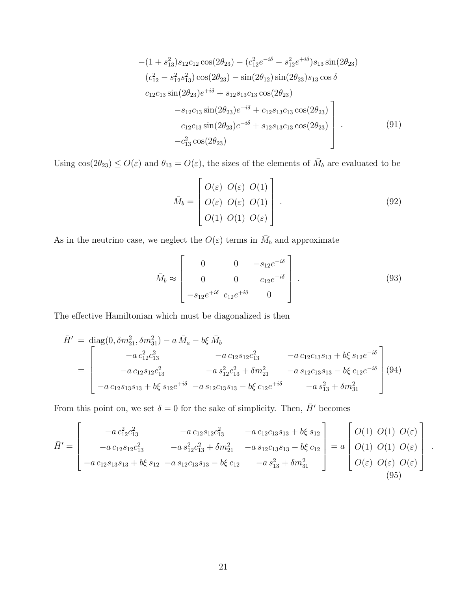$$
-(1 + s_{13}^2)s_{12}c_{12}\cos(2\theta_{23}) - (c_{12}^2e^{-i\delta} - s_{12}^2e^{+i\delta})s_{13}\sin(2\theta_{23})
$$
  
\n
$$
(c_{12}^2 - s_{12}^2s_{13}^2)\cos(2\theta_{23}) - \sin(2\theta_{12})\sin(2\theta_{23})s_{13}\cos\delta
$$
  
\n
$$
c_{12}c_{13}\sin(2\theta_{23})e^{+i\delta} + s_{12}s_{13}c_{13}\cos(2\theta_{23})
$$
  
\n
$$
-s_{12}c_{13}\sin(2\theta_{23})e^{-i\delta} + c_{12}s_{13}c_{13}\cos(2\theta_{23})
$$
  
\n
$$
c_{12}c_{13}\sin(2\theta_{23})e^{-i\delta} + s_{12}s_{13}c_{13}\cos(2\theta_{23})
$$
  
\n
$$
-c_{13}^2\cos(2\theta_{23})
$$
\n(91)

Using  $cos(2\theta_{23}) \leq O(\varepsilon)$  and  $\theta_{13} = O(\varepsilon)$ , the sizes of the elements of  $\overline{M}_b$  are evaluated to be

$$
\bar{M}_b = \begin{bmatrix} O(\varepsilon) & O(\varepsilon) & O(1) \\ O(\varepsilon) & O(\varepsilon) & O(1) \\ O(1) & O(1) & O(\varepsilon) \end{bmatrix} . \tag{92}
$$

As in the neutrino case, we neglect the  $O(\varepsilon)$  terms in  $\overline{M}_b$  and approximate

$$
\bar{M}_b \approx \begin{bmatrix} 0 & 0 & -s_{12}e^{-i\delta} \\ 0 & 0 & c_{12}e^{-i\delta} \\ -s_{12}e^{+i\delta} & c_{12}e^{+i\delta} & 0 \end{bmatrix} . \tag{93}
$$

.

The effective Hamiltonian which must be diagonalized is then

$$
\bar{H}' = \text{diag}(0, \delta m_{21}^2, \delta m_{31}^2) - a \,\bar{M}_a - b\xi \,\bar{M}_b
$$
\n
$$
= \begin{bmatrix}\n-a \,c_{12}^2 c_{13}^2 & -a \,c_{12} s_{12} c_{13}^2 & -a \,c_{12} c_{13} s_{13} + b\xi \,s_{12} e^{-i\delta} \\
-a \,c_{12} s_{12} c_{13}^2 & -a \,s_{12}^2 c_{13}^2 + \delta m_{21}^2 & -a \,s_{12} c_{13} s_{13} - b\xi \,c_{12} e^{-i\delta} \\
-a \,c_{12} s_{13} s_{13} + b\xi \,s_{12} e^{+i\delta} & -a \,s_{12} c_{13} s_{13} - b\xi \,c_{12} e^{+i\delta} & -a \,s_{13}^2 + \delta m_{31}^2\n\end{bmatrix}(94)
$$

From this point on, we set  $\delta = 0$  for the sake of simplicity. Then,  $\bar{H}'$  becomes

$$
\bar{H}' = \begin{bmatrix}\n-a \, c_{12}^2 c_{13}^2 & -a \, c_{12} s_{12} c_{13}^2 & -a \, c_{12} c_{13} s_{13} + b \xi \, s_{12} \\
-a \, c_{12} s_{12} c_{13}^2 & -a \, s_{12}^2 c_{13}^2 + \delta m_{21}^2 & -a \, s_{12} c_{13} s_{13} - b \xi \, c_{12} \\
-a \, c_{12} s_{13} s_{13} + b \xi \, s_{12} & -a \, s_{12} c_{13} s_{13} - b \xi \, c_{12} & -a \, s_{13}^2 + \delta m_{31}^2\n\end{bmatrix} = a \begin{bmatrix}\nO(1) & O(1) & O(\varepsilon) \\
O(1) & O(1) & O(\varepsilon) \\
O(\varepsilon) & O(\varepsilon) & O(\varepsilon)\n\end{bmatrix}
$$
\n(95)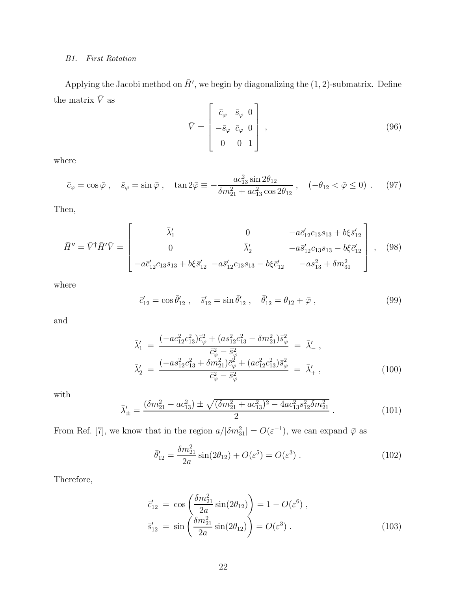# B1. First Rotation

Applying the Jacobi method on  $\bar{H}'$ , we begin by diagonalizing the  $(1, 2)$ -submatrix. Define the matrix  $\bar{V}$  as  $\blacksquare$ 

$$
\bar{V} = \begin{bmatrix} \bar{c}_{\varphi} & \bar{s}_{\varphi} & 0 \\ -\bar{s}_{\varphi} & \bar{c}_{\varphi} & 0 \\ 0 & 0 & 1 \end{bmatrix},
$$
\n(96)

where

$$
\bar{c}_{\varphi} = \cos \bar{\varphi} \ , \quad \bar{s}_{\varphi} = \sin \bar{\varphi} \ , \quad \tan 2\bar{\varphi} \equiv -\frac{ac_{13}^2 \sin 2\theta_{12}}{\delta m_{21}^2 + ac_{13}^2 \cos 2\theta_{12}} \ , \quad (-\theta_{12} < \bar{\varphi} \le 0) \ . \tag{97}
$$

Then,

$$
\bar{H}'' = \bar{V}^{\dagger} \bar{H}' \bar{V} = \begin{bmatrix} \bar{\lambda}'_1 & 0 & -a\bar{c}'_{12}c_{13}s_{13} + b\xi\bar{s}'_{12} \\ 0 & \bar{\lambda}'_2 & -a\bar{s}'_{12}c_{13}s_{13} - b\xi\bar{c}'_{12} \\ -a\bar{c}'_{12}c_{13}s_{13} + b\xi\bar{s}'_{12} & -a\bar{s}'_{12}c_{13}s_{13} - b\xi\bar{c}'_{12} & -as^2_{13} + \delta m^2_{31} \end{bmatrix},
$$
(98)

where

$$
\vec{c}_{12}' = \cos \bar{\theta}_{12}', \quad \vec{s}_{12}' = \sin \bar{\theta}_{12}', \quad \vec{\theta}_{12}' = \theta_{12} + \bar{\varphi}, \tag{99}
$$

and

$$
\bar{\lambda}'_1 = \frac{(-ac_{12}^2 c_{13}^2) \bar{c}_{\varphi}^2 + (as_{12}^2 c_{13}^2 - \delta m_{21}^2) \bar{s}_{\varphi}^2}{\bar{c}_{\varphi}^2 - \bar{s}_{\varphi}^2} = \bar{\lambda}'_{-} ,
$$
\n
$$
\bar{\lambda}'_2 = \frac{(-as_{12}^2 c_{13}^2 + \delta m_{21}^2) \bar{c}_{\varphi}^2 + (ac_{12}^2 c_{13}^2) \bar{s}_{\varphi}^2}{\bar{c}_{\varphi}^2 - \bar{s}_{\varphi}^2} = \bar{\lambda}'_{+} ,
$$
\n(100)

with

$$
\bar{\lambda}'_{\pm} = \frac{(\delta m_{21}^2 - ac_{13}^2) \pm \sqrt{(\delta m_{21}^2 + ac_{13}^2)^2 - 4ac_{13}^2 s_{12}^2 \delta m_{21}^2}}{2} \,. \tag{101}
$$

From Ref. [7], we know that in the region  $a/|\delta m_{31}^2| = O(\varepsilon^{-1})$ , we can expand  $\bar{\varphi}$  as

$$
\bar{\theta}'_{12} = \frac{\delta m_{21}^2}{2a} \sin(2\theta_{12}) + O(\varepsilon^5) = O(\varepsilon^3) . \tag{102}
$$

Therefore,

$$
\vec{c}'_{12} = \cos\left(\frac{\delta m_{21}^2}{2a}\sin(2\theta_{12})\right) = 1 - O(\varepsilon^6) ,
$$
  
\n
$$
\vec{s}'_{12} = \sin\left(\frac{\delta m_{21}^2}{2a}\sin(2\theta_{12})\right) = O(\varepsilon^3) .
$$
\n(103)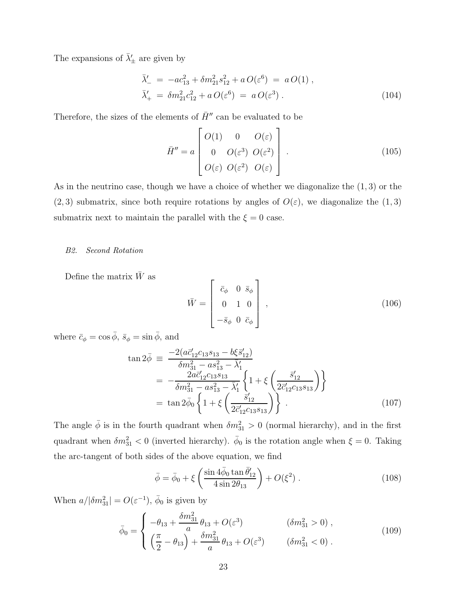The expansions of  $\bar{\lambda}'_{\pm}$  are given by

$$
\bar{\lambda}'_{-} = -ac_{13}^{2} + \delta m_{21}^{2} s_{12}^{2} + a O(\varepsilon^{6}) = a O(1) ,\n\bar{\lambda}'_{+} = \delta m_{21}^{2} c_{12}^{2} + a O(\varepsilon^{6}) = a O(\varepsilon^{3}) .
$$
\n(104)

Therefore, the sizes of the elements of  $\bar{H}''$  can be evaluated to be

$$
\bar{H}'' = a \begin{bmatrix} O(1) & 0 & O(\varepsilon) \\ 0 & O(\varepsilon^3) & O(\varepsilon^2) \\ O(\varepsilon) & O(\varepsilon^2) & O(\varepsilon) \end{bmatrix} . \tag{105}
$$

As in the neutrino case, though we have a choice of whether we diagonalize the  $(1,3)$  or the  $(2, 3)$  submatrix, since both require rotations by angles of  $O(\varepsilon)$ , we diagonalize the  $(1, 3)$ submatrix next to maintain the parallel with the  $\xi = 0$  case.

### B2. Second Rotation

Define the matrix  $\bar{W}$  as

$$
\bar{W} = \begin{bmatrix} \bar{c}_{\phi} & 0 & \bar{s}_{\phi} \\ 0 & 1 & 0 \\ -\bar{s}_{\phi} & 0 & \bar{c}_{\phi} \end{bmatrix},
$$
\n(106)

where  $\bar{c}_{\phi} = \cos \bar{\phi}, \ \bar{s}_{\phi} = \sin \bar{\phi}, \text{ and}$ 

$$
\tan 2\bar{\phi} \equiv \frac{-2(a\bar{c}_{12}^{\prime}c_{13}s_{13} - b\xi\bar{s}_{12}^{\prime})}{\delta m_{31}^{2} - a s_{13}^{2} - \bar{\lambda}_{1}^{\prime}}
$$
\n
$$
= -\frac{2a\bar{c}_{12}^{\prime}c_{13}s_{13}}{\delta m_{31}^{2} - a s_{13}^{2} - \bar{\lambda}_{1}^{\prime}} \left\{ 1 + \xi \left( \frac{\bar{s}_{12}^{\prime}}{2\bar{c}_{12}^{\prime}c_{13}s_{13}} \right) \right\}
$$
\n
$$
= \tan 2\bar{\phi}_{0} \left\{ 1 + \xi \left( \frac{\bar{s}_{12}^{\prime}}{2\bar{c}_{12}^{\prime}c_{13}s_{13}} \right) \right\}.
$$
\n(107)

The angle  $\bar{\phi}$  is in the fourth quadrant when  $\delta m_{31}^2 > 0$  (normal hierarchy), and in the first quadrant when  $\delta m_{31}^2 < 0$  (inverted hierarchy).  $\bar{\phi}_0$  is the rotation angle when  $\xi = 0$ . Taking the arc-tangent of both sides of the above equation, we find

$$
\bar{\phi} = \bar{\phi}_0 + \xi \left( \frac{\sin 4\bar{\phi}_0 \tan \bar{\theta}_{12}'}{4 \sin 2\theta_{13}} \right) + O(\xi^2) . \tag{108}
$$

When  $a/|\delta m_{31}^2| = O(\varepsilon^{-1}), \bar{\phi}_0$  is given by

$$
\bar{\phi}_0 = \begin{cases}\n-\theta_{13} + \frac{\delta m_{31}^2}{a} \theta_{13} + O(\varepsilon^3) & (\delta m_{31}^2 > 0), \\
\left(\frac{\pi}{2} - \theta_{13}\right) + \frac{\delta m_{31}^2}{a} \theta_{13} + O(\varepsilon^3) & (\delta m_{31}^2 < 0).\n\end{cases}
$$
\n(109)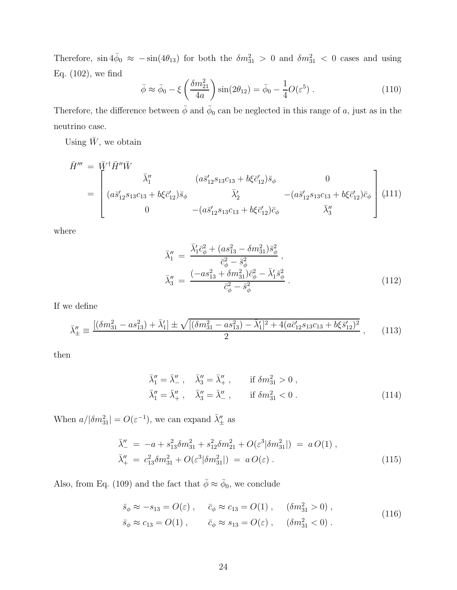Therefore,  $\sin 4\bar{\phi}_0 \approx -\sin(4\theta_{13})$  for both the  $\delta m_{31}^2 > 0$  and  $\delta m_{31}^2 < 0$  cases and using Eq. (102), we find

$$
\bar{\phi} \approx \bar{\phi}_0 - \xi \left(\frac{\delta m_{21}^2}{4a}\right) \sin(2\theta_{12}) = \bar{\phi}_0 - \frac{1}{4}O(\varepsilon^5) . \tag{110}
$$

Therefore, the difference between  $\bar{\phi}$  and  $\bar{\phi}_0$  can be neglected in this range of a, just as in the neutrino case.

Using  $\bar{W}$ , we obtain

$$
\bar{H}''' = \begin{bmatrix} \bar{W}^{\dagger} \bar{H}'' \bar{W} & (a\bar{s}_{12}' s_{13} c_{13} + b\xi \bar{c}_{12}') \bar{s}_{\phi} & 0 \\ (a\bar{s}_{12}' s_{13} c_{13} + b\xi \bar{c}_{12}') \bar{s}_{\phi} & \bar{\lambda}_{2}' & -(a\bar{s}_{12}' s_{13} c_{13} + b\xi \bar{c}_{12}') \bar{c}_{\phi} \\ 0 & -(a\bar{s}_{12}' s_{13} c_{13} + b\xi \bar{c}_{12}') \bar{c}_{\phi} & \bar{\lambda}_{3}'' \end{bmatrix} \tag{111}
$$

where

$$
\bar{\lambda}_1'' = \frac{\bar{\lambda}_1' \bar{c}_{\phi}^2 + (as_{13}^2 - \delta m_{31}^2) \bar{s}_{\phi}^2}{\bar{c}_{\phi}^2 - \bar{s}_{\phi}^2},
$$
\n
$$
\bar{\lambda}_3'' = \frac{(-as_{13}^2 + \delta m_{31}^2) \bar{c}_{\phi}^2 - \bar{\lambda}_1' \bar{s}_{\phi}^2}{\bar{c}_{\phi}^2 - \bar{s}_{\phi}^2}.
$$
\n(112)

If we define

$$
\bar{\lambda}''_{\pm} \equiv \frac{\left[ (\delta m_{31}^2 - a s_{13}^2) + \bar{\lambda}'_1 \right] \pm \sqrt{\left[ (\delta m_{31}^2 - a s_{13}^2) - \bar{\lambda}'_1 \right]^2 + 4(a \bar{c}'_{12} s_{13} c_{13} + b \xi \bar{s}'_{12})^2}}{2} ,\qquad(113)
$$

then

$$
\bar{\lambda}_1'' = \bar{\lambda}_-'' , \quad \bar{\lambda}_3'' = \bar{\lambda}_+'' , \quad \text{if } \delta m_{31}^2 > 0 ,\n\bar{\lambda}_1'' = \bar{\lambda}_+'' , \quad \bar{\lambda}_3'' = \bar{\lambda}_-'' , \quad \text{if } \delta m_{31}^2 < 0 .
$$
\n(114)

When  $a/|\delta m_{31}^2| = O(\varepsilon^{-1})$ , we can expand  $\bar{\lambda}''_{\pm}$  as

$$
\bar{\lambda}''_{-} = -a + s_{13}^2 \delta m_{31}^2 + s_{12}^2 \delta m_{21}^2 + O(\varepsilon^3 |\delta m_{31}^2|) = a O(1) ,
$$
  
\n
$$
\bar{\lambda}''_{+} = c_{13}^2 \delta m_{31}^2 + O(\varepsilon^3 |\delta m_{31}^2|) = a O(\varepsilon) .
$$
\n(115)

Also, from Eq. (109) and the fact that  $\bar{\phi} \approx \bar{\phi}_0$ , we conclude

$$
\bar{s}_{\phi} \approx -s_{13} = O(\varepsilon) , \quad \bar{c}_{\phi} \approx c_{13} = O(1) , \quad (\delta m_{31}^2 > 0) , \tag{116}
$$

$$
\bar{s}_{\phi} \approx c_{13} = O(1) \;, \qquad \bar{c}_{\phi} \approx s_{13} = O(\varepsilon) \;, \qquad (\delta m_{31}^2 < 0) \;.
$$
\n
$$
\tag{116}
$$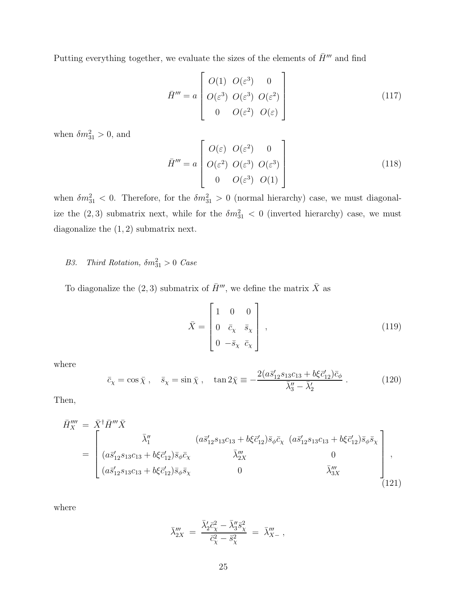Putting everything together, we evaluate the sizes of the elements of  $\bar{H}^{\prime\prime\prime}$  and find

$$
\bar{H}''' = a \begin{bmatrix} O(1) & O(\varepsilon^3) & 0 \\ O(\varepsilon^3) & O(\varepsilon^3) & O(\varepsilon^2) \\ 0 & O(\varepsilon^2) & O(\varepsilon) \end{bmatrix}
$$
(117)

when  $\delta m_{31}^2 > 0$ , and

$$
\bar{H}''' = a \begin{bmatrix} O(\varepsilon) & O(\varepsilon^2) & 0 \\ O(\varepsilon^2) & O(\varepsilon^3) & O(\varepsilon^3) \\ 0 & O(\varepsilon^3) & O(1) \end{bmatrix}
$$
(118)

when  $\delta m_{31}^2 < 0$ . Therefore, for the  $\delta m_{31}^2 > 0$  (normal hierarchy) case, we must diagonalize the  $(2,3)$  submatrix next, while for the  $\delta m_{31}^2 < 0$  (inverted hierarchy) case, we must diagonalize the  $(1, 2)$  submatrix next.

# B3. Third Rotation,  $\delta m_{31}^2 > 0$  Case

To diagonalize the (2, 3) submatrix of  $\bar{H}'''$ , we define the matrix  $\bar{X}$  as

$$
\bar{X} = \begin{bmatrix} 1 & 0 & 0 \\ 0 & \bar{c}_{\chi} & \bar{s}_{\chi} \\ 0 & -\bar{s}_{\chi} & \bar{c}_{\chi} \end{bmatrix},\tag{119}
$$

where

$$
\bar{c}_{\chi} = \cos \bar{\chi} , \quad \bar{s}_{\chi} = \sin \bar{\chi} , \quad \tan 2\bar{\chi} \equiv -\frac{2(a\bar{s}_{12}'s_{13}c_{13} + b\xi\bar{c}_{12}')\bar{c}_{\phi}}{\bar{\lambda}_{3}'' - \bar{\lambda}_{2}'} . \tag{120}
$$

Then,

$$
\bar{H}_{X}''' = \bar{X}^{\dagger} \bar{H}''' \bar{X} \n= \begin{bmatrix}\n\bar{\lambda}_{1}'' & (a\bar{s}_{12}'s_{13}c_{13} + b\xi\bar{c}_{12}')\bar{s}_{\phi}\bar{c}_{\chi} & (a\bar{s}_{12}'s_{13}c_{13} + b\xi\bar{c}_{12}')\bar{s}_{\phi}\bar{s}_{\chi} \\
(a\bar{s}_{12}'s_{13}c_{13} + b\xi\bar{c}_{12}')\bar{s}_{\phi}\bar{s}_{\chi} & \bar{\lambda}_{2X}''' & 0 \\
(a\bar{s}_{12}'s_{13}c_{13} + b\xi\bar{c}_{12}')\bar{s}_{\phi}\bar{s}_{\chi} & 0 & \bar{\lambda}_{3X}'''\n\end{bmatrix},
$$
\n(121)

where

$$
\bar{\lambda}_{2X}''' = \frac{\bar{\lambda}_2' \bar{c}_{\chi}^2 - \bar{\lambda}_3'' \bar{s}_{\chi}^2}{\bar{c}_{\chi}^2 - \bar{s}_{\chi}^2} = \bar{\lambda}_{X-}''' ,
$$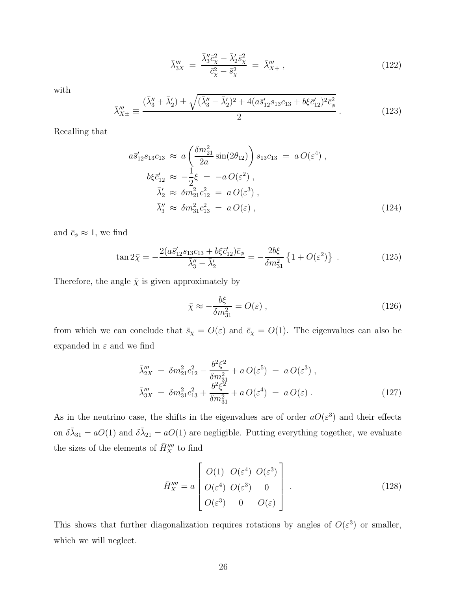$$
\bar{\lambda}_{3X}''' = \frac{\bar{\lambda}_3'' \bar{c}_{\chi}^2 - \bar{\lambda}_2' \bar{s}_{\chi}^2}{\bar{c}_{\chi}^2 - \bar{s}_{\chi}^2} = \bar{\lambda}_{X+}''' \,, \tag{122}
$$

with

$$
\bar{\lambda}_{X\pm}''' \equiv \frac{(\bar{\lambda}_3'' + \bar{\lambda}_2') \pm \sqrt{(\bar{\lambda}_3'' - \bar{\lambda}_2')^2 + 4(a\bar{s}_{12}'s_{13}c_{13} + b\xi\bar{c}_{12}')^2\bar{c}_{\phi}^2}}{2} \,. \tag{123}
$$

Recalling that

$$
a\bar{s}'_{12}s_{13}c_{13} \approx a\left(\frac{\delta m_{21}^2}{2a}\sin(2\theta_{12})\right)s_{13}c_{13} = aO(\varepsilon^4) ,\n b\xi\bar{c}'_{12} \approx -\frac{1}{2}\xi = -aO(\varepsilon^2) ,\n \bar{\lambda}'_2 \approx \delta m_{21}^2 c_{12}^2 = aO(\varepsilon^3) ,\n \bar{\lambda}''_3 \approx \delta m_{31}^2 c_{13}^2 = aO(\varepsilon) ,
$$
\n(124)

and  $\bar{c}_{\phi} \approx 1$ , we find

$$
\tan 2\bar{\chi} = -\frac{2(a\bar{s}_{12}'s_{13}c_{13} + b\xi\bar{c}_{12}')\bar{c}_{\phi}}{\bar{\lambda}_{3}'' - \bar{\lambda}_{2}'} = -\frac{2b\xi}{\delta m_{31}^2} \left\{ 1 + O(\varepsilon^2) \right\} . \tag{125}
$$

Therefore, the angle  $\bar{\chi}$  is given approximately by

$$
\bar{\chi} \approx -\frac{b\xi}{\delta m_{31}^2} = O(\varepsilon) , \qquad (126)
$$

from which we can conclude that  $\bar{s}_{\chi} = O(\varepsilon)$  and  $\bar{c}_{\chi} = O(1)$ . The eigenvalues can also be expanded in  $\varepsilon$  and we find

$$
\bar{\lambda}_{2X}''' = \delta m_{21}^2 c_{12}^2 - \frac{b^2 \xi^2}{\delta m_{31}^2} + a O(\varepsilon^5) = a O(\varepsilon^3) ,
$$
\n
$$
\bar{\lambda}_{3X}''' = \delta m_{31}^2 c_{13}^2 + \frac{b^2 \xi^2}{\delta m_{31}^2} + a O(\varepsilon^4) = a O(\varepsilon) .
$$
\n(127)

As in the neutrino case, the shifts in the eigenvalues are of order  $aO(\varepsilon^3)$  and their effects on  $\delta\bar{\lambda}_{31} = aO(1)$  and  $\delta\bar{\lambda}_{21} = aO(1)$  are negligible. Putting everything together, we evaluate the sizes of the elements of  $\bar{H}_X''''$  to find

$$
\bar{H}_X'''' = a \begin{bmatrix} O(1) & O(\varepsilon^4) & O(\varepsilon^3) \\ O(\varepsilon^4) & O(\varepsilon^3) & 0 \\ O(\varepsilon^3) & 0 & O(\varepsilon) \end{bmatrix} . \tag{128}
$$

This shows that further diagonalization requires rotations by angles of  $O(\varepsilon^3)$  or smaller, which we will neglect.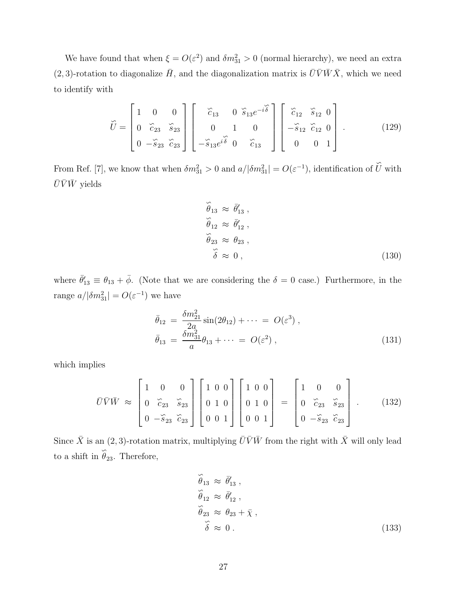We have found that when  $\xi = O(\varepsilon^2)$  and  $\delta m_{31}^2 > 0$  (normal hierarchy), we need an extra  $(2, 3)$ -rotation to diagonalize  $\bar{H}$ , and the diagonalization matrix is  $\bar{U}\bar{V}\bar{W}\bar{X}$ , which we need to identify with

$$
\widetilde{U} = \begin{bmatrix} 1 & 0 & 0 \\ 0 & \widetilde{c}_{23} & \widetilde{s}_{23} \\ 0 & -\widetilde{s}_{23} & \widetilde{c}_{23} \end{bmatrix} \begin{bmatrix} \widetilde{c}_{13} & 0 & \widetilde{s}_{13}e^{-i\widetilde{\delta}} \\ 0 & 1 & 0 \\ -\widetilde{s}_{13}e^{i\widetilde{\delta}} & 0 & \widetilde{c}_{13} \end{bmatrix} \begin{bmatrix} \widetilde{c}_{12} & \widetilde{s}_{12} & 0 \\ -\widetilde{s}_{12} & \widetilde{c}_{12} & 0 \\ 0 & 0 & 1 \end{bmatrix} .
$$
 (129)

From Ref. [7], we know that when  $\delta m_{31}^2 > 0$  and  $a/|\delta m_{31}^2| = O(\varepsilon^{-1})$ , identification of ∽  $U$  with  $\bar{U}\bar{V}\bar{W}$  yields

$$
\widetilde{\theta}_{13} \approx \vec{\theta}'_{13}, \n\widetilde{\theta}_{12} \approx \vec{\theta}'_{12}, \n\widetilde{\theta}_{23} \approx \theta_{23}, \n\widetilde{\delta} \approx 0,
$$
\n(130)

where  $\bar{\theta}'_{13} \equiv \theta_{13} + \bar{\phi}$ . (Note that we are considering the  $\delta = 0$  case.) Furthermore, in the range  $a/|\delta m_{31}^2| = O(\varepsilon^{-1})$  we have

$$
\bar{\theta}_{12} = \frac{\delta m_{21}^2}{2a} \sin(2\theta_{12}) + \cdots = O(\varepsilon^3) , \n\bar{\theta}_{13} = \frac{\delta m_{31}^2}{a} \theta_{13} + \cdots = O(\varepsilon^2) ,
$$
\n(131)

which implies

$$
\bar{U}\bar{V}\bar{W} \approx \begin{bmatrix} 1 & 0 & 0 \\ 0 & \widetilde{c}_{23} & \widetilde{s}_{23} \\ 0 & -\widetilde{s}_{23} & \widetilde{c}_{23} \end{bmatrix} \begin{bmatrix} 1 & 0 & 0 \\ 0 & 1 & 0 \\ 0 & 0 & 1 \end{bmatrix} \begin{bmatrix} 1 & 0 & 0 \\ 0 & 1 & 0 \\ 0 & 0 & 1 \end{bmatrix} = \begin{bmatrix} 1 & 0 & 0 \\ 0 & \widetilde{c}_{23} & \widetilde{s}_{23} \\ 0 & -\widetilde{s}_{23} & \widetilde{c}_{23} \end{bmatrix} . \tag{132}
$$

Since  $\bar{X}$  is an  $(2, 3)$ -rotation matrix, multiplying  $\bar{U}\bar{V}\bar{W}$  from the right with  $\bar{X}$  will only lead to a shift in ∽  $\theta_{23}$ . Therefore,

$$
\widetilde{\theta}_{13} \approx \vec{\theta}'_{13}, \n\widetilde{\theta}_{12} \approx \vec{\theta}'_{12}, \n\widetilde{\theta}_{23} \approx \theta_{23} + \bar{\chi}, \n\widetilde{\delta} \approx 0.
$$
\n(133)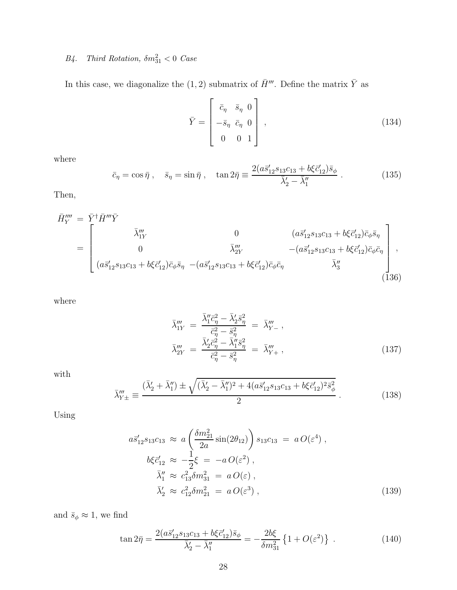# B4. Third Rotation,  $\delta m_{31}^2 < 0$  Case

In this case, we diagonalize the (1, 2) submatrix of  $\bar{H}'''$ . Define the matrix  $\bar{Y}$  as

$$
\bar{Y} = \begin{bmatrix} \bar{c}_{\eta} & \bar{s}_{\eta} & 0 \\ -\bar{s}_{\eta} & \bar{c}_{\eta} & 0 \\ 0 & 0 & 1 \end{bmatrix},\tag{134}
$$

where

$$
\bar{c}_{\eta} = \cos \bar{\eta} \ , \quad \bar{s}_{\eta} = \sin \bar{\eta} \ , \quad \tan 2\bar{\eta} \equiv \frac{2(a\bar{s}_{12}'s_{13}c_{13} + b\xi\bar{c}_{12}')\bar{s}_{\phi}}{\bar{\lambda}_{2}' - \bar{\lambda}_{1}''} \ . \tag{135}
$$

Then,

$$
\bar{H}_{Y}^{\prime\prime\prime} = \bar{Y}^{\dagger} \bar{H}^{\prime\prime\prime} \bar{Y}
$$
\n
$$
= \begin{bmatrix}\n\bar{\lambda}_{1Y}^{\prime\prime} & 0 & (a\bar{s}_{12}^{\prime} s_{13} c_{13} + b\xi \bar{c}_{12}^{\prime}) \bar{c}_{\phi} \bar{s}_{\eta} \\
0 & \bar{\lambda}_{2Y}^{\prime\prime} & -(a\bar{s}_{12}^{\prime} s_{13} c_{13} + b\xi \bar{c}_{12}^{\prime}) \bar{c}_{\phi} \bar{c}_{\eta} \\
(a\bar{s}_{12}^{\prime} s_{13} c_{13} + b\xi \bar{c}_{12}^{\prime}) \bar{c}_{\phi} \bar{s}_{\eta} & -(a\bar{s}_{12}^{\prime} s_{13} c_{13} + b\xi \bar{c}_{12}^{\prime}) \bar{c}_{\phi} \bar{c}_{\eta} & \bar{\lambda}_{3}^{\prime\prime}\n\end{bmatrix},
$$
\n(136)

where

$$
\bar{\lambda}_{1Y}''' = \frac{\bar{\lambda}_1'' \bar{c}_\eta^2 - \bar{\lambda}_2' \bar{s}_\eta^2}{\bar{c}_\eta^2 - \bar{s}_\eta^2} = \bar{\lambda}_{Y-}'''
$$
\n
$$
\bar{\lambda}_{2Y}''' = \frac{\bar{\lambda}_2' \bar{c}_\eta^2 - \bar{\lambda}_1'' \bar{s}_\eta^2}{\bar{c}_\eta^2 - \bar{s}_\eta^2} = \bar{\lambda}_{Y+}'''
$$
\n(137)

with

$$
\bar{\lambda}_{Y\pm}''' \equiv \frac{(\bar{\lambda}_2' + \bar{\lambda}_1'') \pm \sqrt{(\bar{\lambda}_2' - \bar{\lambda}_1'')^2 + 4(a\bar{s}_{12}'s_{13}c_{13} + b\xi\bar{c}_{12}')^2\bar{s}_{\phi}^2}}{2} \,. \tag{138}
$$

Using

$$
a\bar{s}'_{12}s_{13}c_{13} \approx a\left(\frac{\delta m_{21}^2}{2a}\sin(2\theta_{12})\right)s_{13}c_{13} = aO(\varepsilon^4) ,\n b\xi\bar{c}'_{12} \approx -\frac{1}{2}\xi = -aO(\varepsilon^2) ,\n \bar{\lambda}''_1 \approx c_{13}^2 \delta m_{31}^2 = aO(\varepsilon) ,\n \bar{\lambda}'_2 \approx c_{12}^2 \delta m_{21}^2 = aO(\varepsilon^3) ,
$$
\n(139)

and  $\bar{s}_{\phi} \approx$  1, we find

$$
\tan 2\bar{\eta} = \frac{2(a\bar{s}_{12}'s_{13}c_{13} + b\xi\bar{c}_{12}')\bar{s}_{\phi}}{\bar{\lambda}_{2}' - \bar{\lambda}_{1}''} = -\frac{2b\xi}{\delta m_{31}^2} \left\{ 1 + O(\varepsilon^2) \right\} . \tag{140}
$$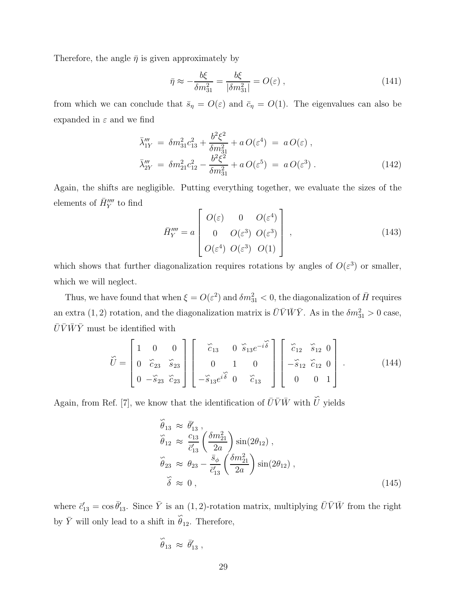Therefore, the angle  $\bar{\eta}$  is given approximately by

$$
\bar{\eta} \approx -\frac{b\xi}{\delta m_{31}^2} = \frac{b\xi}{|\delta m_{31}^2|} = O(\varepsilon) , \qquad (141)
$$

from which we can conclude that  $\bar{s}_{\eta} = O(\varepsilon)$  and  $\bar{c}_{\eta} = O(1)$ . The eigenvalues can also be expanded in  $\varepsilon$  and we find

$$
\bar{\lambda}_{1Y}''' = \delta m_{31}^2 c_{13}^2 + \frac{b^2 \xi^2}{\delta m_{31}^2} + a O(\varepsilon^4) = a O(\varepsilon) ,
$$
\n
$$
\bar{\lambda}_{2Y}''' = \delta m_{21}^2 c_{12}^2 - \frac{b^2 \xi^2}{\delta m_{31}^2} + a O(\varepsilon^5) = a O(\varepsilon^3) .
$$
\n(142)

Again, the shifts are negligible. Putting everything together, we evaluate the sizes of the elements of  $\bar{H}_{Y}^{\prime \prime \prime \prime}$  to find

$$
\bar{H}_{Y}^{\prime\prime\prime\prime} = a \begin{bmatrix} O(\varepsilon) & 0 & O(\varepsilon^{4}) \\ 0 & O(\varepsilon^{3}) & O(\varepsilon^{3}) \\ O(\varepsilon^{4}) & O(\varepsilon^{3}) & O(1) \end{bmatrix}, \qquad (143)
$$

which shows that further diagonalization requires rotations by angles of  $O(\varepsilon^3)$  or smaller, which we will neglect.

Thus, we have found that when  $\xi = O(\varepsilon^2)$  and  $\delta m_{31}^2 < 0$ , the diagonalization of  $\bar{H}$  requires an extra (1, 2) rotation, and the diagonalization matrix is  $\bar{U}\bar{V}\bar{W}\bar{Y}$ . As in the  $\delta m_{31}^2 > 0$  case,  $\bar{U}\bar{V}\bar{W}\bar{Y}$  must be identified with

$$
\widetilde{U} = \begin{bmatrix} 1 & 0 & 0 \\ 0 & \widetilde{c}_{23} & \widetilde{s}_{23} \\ 0 & -\widetilde{s}_{23} & \widetilde{c}_{23} \end{bmatrix} \begin{bmatrix} \widetilde{c}_{13} & 0 & \widetilde{s}_{13}e^{-i\widetilde{\delta}} \\ 0 & 1 & 0 \\ -\widetilde{s}_{13}e^{i\widetilde{\delta}} & 0 & \widetilde{c}_{13} \end{bmatrix} \begin{bmatrix} \widetilde{c}_{12} & \widetilde{s}_{12} & 0 \\ -\widetilde{s}_{12} & \widetilde{c}_{12} & 0 \\ 0 & 0 & 1 \end{bmatrix} .
$$
 (144)

Again, from Ref. [7], we know that the identification of  $\bar{U}\bar{V}\bar{W}$  with  $\hat{U}$  $U$  yields

$$
\widetilde{\theta}_{13} \approx \overline{\theta}'_{13}, \n\widetilde{\theta}_{12} \approx \frac{c_{13}}{\overline{c}'_{13}} \left( \frac{\delta m_{21}^2}{2a} \right) \sin(2\theta_{12}), \n\widetilde{\theta}_{23} \approx \theta_{23} - \frac{\overline{s}_{\phi}}{\overline{c}'_{13}} \left( \frac{\delta m_{21}^2}{2a} \right) \sin(2\theta_{12}), \n\widetilde{\delta} \approx 0, \qquad (145)
$$

where  $\vec{c}_{13} = \cos \bar{\theta}_{13}'$ . Since  $\bar{Y}$  is an  $(1, 2)$ -rotation matrix, multiplying  $\bar{U} \bar{V} \bar{W}$  from the right by  $\bar{Y}$  will only lead to a shift in  $\hat{\theta}$  $\theta_{12}$ . Therefore,

$$
\stackrel{\sim}{\theta}_{13} \;\approx\; \bar{\theta}'_{13} \; ,
$$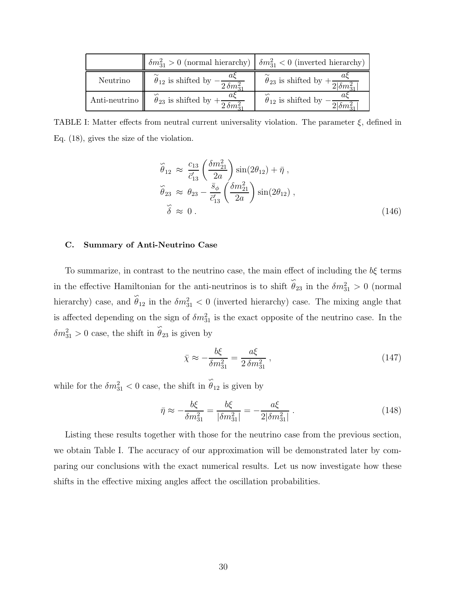|               | $\eta_{31} > 0$ (normal hierarchy) $\eta_{31} < 0$ (inverted hierarchy) |                                                                  |
|---------------|-------------------------------------------------------------------------|------------------------------------------------------------------|
| Neutrino      | $\theta_{12}$ is shifted by $-\frac{u\zeta}{2\delta m_{31}^2}$          | $\theta_{23}$ is shifted by $+\frac{a\zeta}{2 \delta m_{31}^2 }$ |
| Anti-neutrino | $\theta_{23}$ is shifted by $+\frac{u\zeta}{2\delta m_{21}^2}$          | $\theta_{12}$ is shifted by $-\frac{a\zeta}{2 \delta m^2_{31} }$ |

TABLE I: Matter effects from neutral current universality violation. The parameter  $\xi$ , defined in Eq. (18), gives the size of the violation.

$$
\tilde{\theta}_{12} \approx \frac{c_{13}}{\bar{c}_{13}'} \left( \frac{\delta m_{21}^2}{2a} \right) \sin(2\theta_{12}) + \bar{\eta} ,
$$
  
\n
$$
\tilde{\theta}_{23} \approx \theta_{23} - \frac{\bar{s}_{\phi}}{\bar{c}_{13}'} \left( \frac{\delta m_{21}^2}{2a} \right) \sin(2\theta_{12}) ,
$$
  
\n
$$
\tilde{\delta} \approx 0 .
$$
\n(146)

# C. Summary of Anti-Neutrino Case

To summarize, in contrast to the neutrino case, the main effect of including the  $b\xi$  terms in the effective Hamiltonian for the anti-neutrinos is to shift  $\hat{\theta}_{23}$  in the  $\delta m_{31}^2 > 0$  (normal hierarchy) case, and  $\hat{\theta}_{12}$  in the  $\delta m_{31}^2 < 0$  (inverted hierarchy) case. The mixing angle that is affected depending on the sign of  $\delta m_{31}^2$  is the exact opposite of the neutrino case. In the  $\delta m_{31}^2 > 0$  case, the shift in ∽  $\theta_{23}$  is given by

$$
\bar{\chi} \approx -\frac{b\xi}{\delta m_{31}^2} = \frac{a\xi}{2\,\delta m_{31}^2} \,,\tag{147}
$$

while for the  $\delta m_{31}^2 < 0$  case, the shift in ∽  $\theta_{12}$  is given by

$$
\bar{\eta} \approx -\frac{b\xi}{\delta m_{31}^2} = \frac{b\xi}{|\delta m_{31}^2|} = -\frac{a\xi}{2|\delta m_{31}^2|} \,. \tag{148}
$$

Listing these results together with those for the neutrino case from the previous section, we obtain Table I. The accuracy of our approximation will be demonstrated later by comparing our conclusions with the exact numerical results. Let us now investigate how these shifts in the effective mixing angles affect the oscillation probabilities.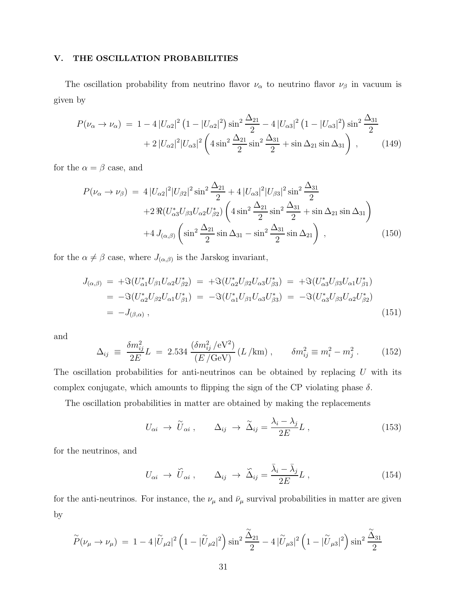# V. THE OSCILLATION PROBABILITIES

The oscillation probability from neutrino flavor  $\nu_{\alpha}$  to neutrino flavor  $\nu_{\beta}$  in vacuum is given by

$$
P(\nu_{\alpha} \to \nu_{\alpha}) = 1 - 4 |U_{\alpha 2}|^2 \left(1 - |U_{\alpha 2}|^2\right) \sin^2 \frac{\Delta_{21}}{2} - 4 |U_{\alpha 3}|^2 \left(1 - |U_{\alpha 3}|^2\right) \sin^2 \frac{\Delta_{31}}{2} + 2 |U_{\alpha 2}|^2 |U_{\alpha 3}|^2 \left(4 \sin^2 \frac{\Delta_{21}}{2} \sin^2 \frac{\Delta_{31}}{2} + \sin \Delta_{21} \sin \Delta_{31}\right), \qquad (149)
$$

for the  $\alpha = \beta$  case, and

$$
P(\nu_{\alpha} \to \nu_{\beta}) = 4 |U_{\alpha 2}|^2 |U_{\beta 2}|^2 \sin^2 \frac{\Delta_{21}}{2} + 4 |U_{\alpha 3}|^2 |U_{\beta 3}|^2 \sin^2 \frac{\Delta_{31}}{2} + 2 \Re (U_{\alpha 3}^* U_{\beta 3} U_{\alpha 2} U_{\beta 2}^*) \left( 4 \sin^2 \frac{\Delta_{21}}{2} \sin^2 \frac{\Delta_{31}}{2} + \sin \Delta_{21} \sin \Delta_{31} \right) + 4 J_{(\alpha,\beta)} \left( \sin^2 \frac{\Delta_{21}}{2} \sin \Delta_{31} - \sin^2 \frac{\Delta_{31}}{2} \sin \Delta_{21} \right) ,
$$
 (150)

for the  $\alpha \neq \beta$  case, where  $J_{(\alpha,\beta)}$  is the Jarskog invariant,

$$
J_{(\alpha,\beta)} = +\Im(U_{\alpha1}^* U_{\beta1} U_{\alpha2} U_{\beta2}^*) = +\Im(U_{\alpha2}^* U_{\beta2} U_{\alpha3} U_{\beta3}^*) = +\Im(U_{\alpha3}^* U_{\beta3} U_{\alpha1} U_{\beta1}^*)
$$
  
=  $-\Im(U_{\alpha2}^* U_{\beta2} U_{\alpha1} U_{\beta1}^*) = -\Im(U_{\alpha1}^* U_{\beta1} U_{\alpha3} U_{\beta3}^*) = -\Im(U_{\alpha3}^* U_{\beta3} U_{\alpha2} U_{\beta2}^*)$   
=  $-J_{(\beta,\alpha)}$ , (151)

and

$$
\Delta_{ij} \equiv \frac{\delta m_{ij}^2}{2E} L = 2.534 \frac{(\delta m_{ij}^2 / \text{eV}^2)}{(E / \text{GeV})} (L / \text{km}), \qquad \delta m_{ij}^2 \equiv m_i^2 - m_j^2. \tag{152}
$$

The oscillation probabilities for anti-neutrinos can be obtained by replacing  $U$  with its complex conjugate, which amounts to flipping the sign of the CP violating phase  $\delta$ .

The oscillation probabilities in matter are obtained by making the replacements

$$
U_{\alpha i} \rightarrow \tilde{U}_{\alpha i} , \qquad \Delta_{ij} \rightarrow \tilde{\Delta}_{ij} = \frac{\lambda_i - \lambda_j}{2E} L , \qquad (153)
$$

for the neutrinos, and

$$
U_{\alpha i} \rightarrow \tilde{U}_{\alpha i} , \qquad \Delta_{ij} \rightarrow \tilde{\Delta}_{ij} = \frac{\bar{\lambda}_i - \bar{\lambda}_j}{2E} L , \qquad (154)
$$

for the anti-neutrinos. For instance, the  $\nu_{\mu}$  and  $\bar{\nu}_{\mu}$  survival probabilities in matter are given by

$$
\widetilde{P}(\nu_{\mu} \to \nu_{\mu}) = 1 - 4 |\widetilde{U}_{\mu 2}|^2 \left(1 - |\widetilde{U}_{\mu 2}|^2\right) \sin^2 \frac{\widetilde{\Delta}_{21}}{2} - 4 |\widetilde{U}_{\mu 3}|^2 \left(1 - |\widetilde{U}_{\mu 3}|^2\right) \sin^2 \frac{\widetilde{\Delta}_{31}}{2}
$$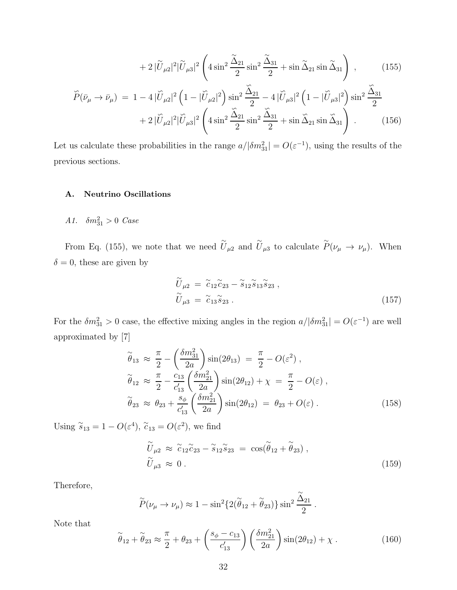$$
+2|\widetilde{U}_{\mu2}|^2|\widetilde{U}_{\mu3}|^2\left(4\sin^2\frac{\widetilde{\Delta}_{21}}{2}\sin^2\frac{\widetilde{\Delta}_{31}}{2}+\sin\widetilde{\Delta}_{21}\sin\widetilde{\Delta}_{31}\right),\qquad(155)
$$

$$
\tilde{P}(\bar{\nu}_{\mu} \to \bar{\nu}_{\mu}) = 1 - 4 |\tilde{U}_{\mu 2}|^2 \left( 1 - |\tilde{U}_{\mu 2}|^2 \right) \sin^2 \frac{\tilde{\Delta}_{21}}{2} - 4 |\tilde{U}_{\mu 3}|^2 \left( 1 - |\tilde{U}_{\mu 3}|^2 \right) \sin^2 \frac{\tilde{\Delta}_{31}}{2} + 2 |\tilde{U}_{\mu 2}|^2 |\tilde{U}_{\mu 3}|^2 \left( 4 \sin^2 \frac{\tilde{\Delta}_{21}}{2} \sin^2 \frac{\tilde{\Delta}_{31}}{2} + \sin \tilde{\Delta}_{21} \sin \tilde{\Delta}_{31} \right) . \tag{156}
$$

Let us calculate these probabilities in the range  $a/|\delta m_{31}^2| = O(\varepsilon^{-1})$ , using the results of the previous sections.

# A. Neutrino Oscillations

A1.  $\delta m_{31}^2 > 0$  Case

From Eq. (155), we note that we need  $\tilde{U}_{\mu 2}$  and  $\tilde{U}_{\mu 3}$  to calculate  $\tilde{P}(\nu_{\mu} \to \nu_{\mu})$ . When  $\delta = 0$ , these are given by

$$
\widetilde{U}_{\mu 2} = \widetilde{c}_{12} \widetilde{c}_{23} - \widetilde{s}_{12} \widetilde{s}_{13} \widetilde{s}_{23} , \n\widetilde{U}_{\mu 3} = \widetilde{c}_{13} \widetilde{s}_{23} .
$$
\n(157)

For the  $\delta m_{31}^2 > 0$  case, the effective mixing angles in the region  $a/|\delta m_{31}^2| = O(\varepsilon^{-1})$  are well approximated by [7]

$$
\widetilde{\theta}_{13} \approx \frac{\pi}{2} - \left(\frac{\delta m_{31}^2}{2a}\right) \sin(2\theta_{13}) = \frac{\pi}{2} - O(\varepsilon^2) ,
$$
  
\n
$$
\widetilde{\theta}_{12} \approx \frac{\pi}{2} - \frac{c_{13}}{c'_{13}} \left(\frac{\delta m_{21}^2}{2a}\right) \sin(2\theta_{12}) + \chi = \frac{\pi}{2} - O(\varepsilon) ,
$$
  
\n
$$
\widetilde{\theta}_{23} \approx \theta_{23} + \frac{s_{\phi}}{c'_{13}} \left(\frac{\delta m_{21}^2}{2a}\right) \sin(2\theta_{12}) = \theta_{23} + O(\varepsilon) .
$$
\n(158)

Using  $\widetilde{s}_{13} = 1 - O(\varepsilon^4)$ ,  $\widetilde{c}_{13} = O(\varepsilon^2)$ , we find

$$
\widetilde{U}_{\mu 2} \approx \widetilde{c}_{12} \widetilde{c}_{23} - \widetilde{s}_{12} \widetilde{s}_{23} = \cos(\widetilde{\theta}_{12} + \widetilde{\theta}_{23}), \n\widetilde{U}_{\mu 3} \approx 0.
$$
\n(159)

.

Therefore,

$$
\widetilde{P}(\nu_{\mu} \to \nu_{\mu}) \approx 1 - \sin^2\{2(\widetilde{\theta}_{12} + \widetilde{\theta}_{23})\} \sin^2\frac{\widetilde{\Delta}_{21}}{2}
$$

Note that

$$
\widetilde{\theta}_{12} + \widetilde{\theta}_{23} \approx \frac{\pi}{2} + \theta_{23} + \left(\frac{s_{\phi} - c_{13}}{c'_{13}}\right) \left(\frac{\delta m_{21}^2}{2a}\right) \sin(2\theta_{12}) + \chi \,. \tag{160}
$$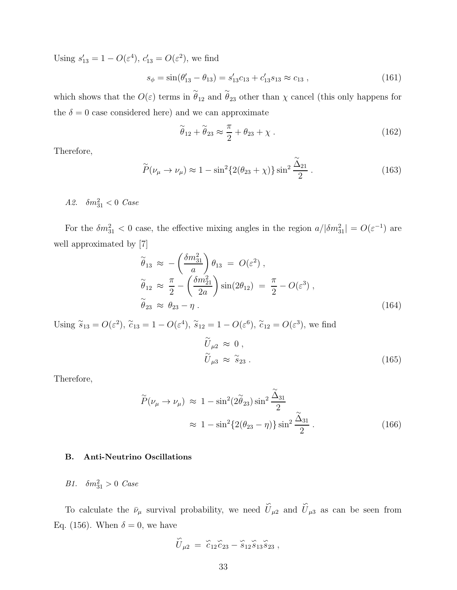Using  $s'_{13} = 1 - O(\varepsilon^4)$ ,  $c'_{13} = O(\varepsilon^2)$ , we find

$$
s_{\phi} = \sin(\theta'_{13} - \theta_{13}) = s'_{13}c_{13} + c'_{13}s_{13} \approx c_{13} , \qquad (161)
$$

which shows that the  $O(\varepsilon)$  terms in  $\tilde{\theta}_{12}$  and  $\tilde{\theta}_{23}$  other than  $\chi$  cancel (this only happens for the  $\delta = 0$  case considered here) and we can approximate

$$
\widetilde{\theta}_{12} + \widetilde{\theta}_{23} \approx \frac{\pi}{2} + \theta_{23} + \chi \tag{162}
$$

Therefore,

$$
\widetilde{P}(\nu_{\mu} \to \nu_{\mu}) \approx 1 - \sin^2\{2(\theta_{23} + \chi)\}\sin^2\frac{\widetilde{\Delta}_{21}}{2} \,. \tag{163}
$$

*A2.*  $\delta m_{31}^2 < 0$  *Case* 

For the  $\delta m_{31}^2 < 0$  case, the effective mixing angles in the region  $a/|\delta m_{31}^2| = O(\varepsilon^{-1})$  are well approximated by [7]

$$
\widetilde{\theta}_{13} \approx -\left(\frac{\delta m_{31}^2}{a}\right) \theta_{13} = O(\varepsilon^2) ,
$$
\n
$$
\widetilde{\theta}_{12} \approx \frac{\pi}{2} - \left(\frac{\delta m_{21}^2}{2a}\right) \sin(2\theta_{12}) = \frac{\pi}{2} - O(\varepsilon^3) ,
$$
\n
$$
\widetilde{\theta}_{23} \approx \theta_{23} - \eta .
$$
\n(164)

Using  $\tilde{s}_{13} = O(\varepsilon^2)$ ,  $\tilde{c}_{13} = 1 - O(\varepsilon^4)$ ,  $\tilde{s}_{12} = 1 - O(\varepsilon^6)$ ,  $\tilde{c}_{12} = O(\varepsilon^3)$ , we find

$$
\widetilde{U}_{\mu 2} \approx 0 ,\n\widetilde{U}_{\mu 3} \approx \widetilde{s}_{23} .
$$
\n(165)

Therefore,

$$
\widetilde{P}(\nu_{\mu} \to \nu_{\mu}) \approx 1 - \sin^2(2\widetilde{\theta}_{23})\sin^2\frac{\widetilde{\Delta}_{31}}{2}
$$

$$
\approx 1 - \sin^2\{2(\theta_{23} - \eta)\}\sin^2\frac{\widetilde{\Delta}_{31}}{2} \,. \tag{166}
$$

# B. Anti-Neutrino Oscillations

B1.  $\delta m_{31}^2 > 0$  Case

To calculate the  $\bar{\nu}_{\mu}$  survival probability, we need ∽  $U_{\mu 2}$  and ∽  $U_{\mu 3}$  as can be seen from Eq. (156). When  $\delta = 0$ , we have

$$
\stackrel{\sim}{U}_{\mu 2} = \stackrel{\sim}{c}_{12} \stackrel{\sim}{c}_{23} - \stackrel{\sim}{s}_{12} \stackrel{\sim}{s}_{13} \stackrel{\sim}{s}_{23} ,
$$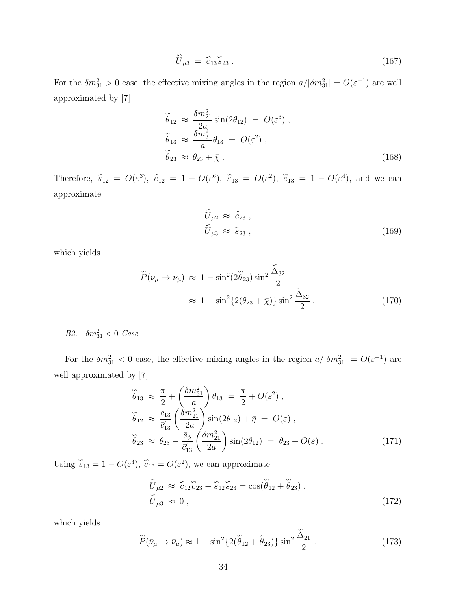$$
\widetilde{U}_{\mu 3} = \widetilde{c}_{13} \widetilde{s}_{23} \,. \tag{167}
$$

For the  $\delta m_{31}^2 > 0$  case, the effective mixing angles in the region  $a/|\delta m_{31}^2| = O(\varepsilon^{-1})$  are well approximated by [7]

$$
\tilde{\theta}_{12} \approx \frac{\delta m_{21}^2}{2a} \sin(2\theta_{12}) = O(\varepsilon^3),
$$
  
\n
$$
\tilde{\theta}_{13} \approx \frac{\delta m_{31}^2}{a} \theta_{13} = O(\varepsilon^2),
$$
  
\n
$$
\tilde{\theta}_{23} \approx \theta_{23} + \bar{\chi}.
$$
\n(168)

Therefore,  $\tilde{s}_{12} = O(\varepsilon^3)$ ,  $\tilde{c}_{12} = 1 - O(\varepsilon^6)$ ,  $\tilde{s}_{13} = O(\varepsilon^2)$ ,  $\tilde{c}_{13} = 1 - O(\varepsilon^4)$ , and we can approximate

$$
\widetilde{U}_{\mu 2} \approx \widetilde{c}_{23} ,
$$
\n
$$
\widetilde{U}_{\mu 3} \approx \widetilde{s}_{23} ,
$$
\n(169)

which yields

$$
\widetilde{P}(\bar{\nu}_{\mu} \to \bar{\nu}_{\mu}) \approx 1 - \sin^2(2\widetilde{\theta}_{23})\sin^2\frac{\widetilde{\Delta}_{32}}{2}
$$

$$
\approx 1 - \sin^2\{2(\theta_{23} + \bar{\chi})\}\sin^2\frac{\widetilde{\Delta}_{32}}{2} \,. \tag{170}
$$

B2.  $\delta m_{31}^2 < 0$  Case

For the  $\delta m_{31}^2 < 0$  case, the effective mixing angles in the region  $a/|\delta m_{31}^2| = O(\varepsilon^{-1})$  are well approximated by [7]

$$
\tilde{\theta}_{13} \approx \frac{\pi}{2} + \left(\frac{\delta m_{31}^2}{a}\right) \theta_{13} = \frac{\pi}{2} + O(\varepsilon^2) ,
$$
  
\n
$$
\tilde{\theta}_{12} \approx \frac{c_{13}}{\vec{c}_{13}} \left(\frac{\delta m_{21}^2}{2a}\right) \sin(2\theta_{12}) + \bar{\eta} = O(\varepsilon) ,
$$
  
\n
$$
\tilde{\theta}_{23} \approx \theta_{23} - \frac{\bar{s}_{\phi}}{\bar{c}_{13}} \left(\frac{\delta m_{21}^2}{2a}\right) \sin(2\theta_{12}) = \theta_{23} + O(\varepsilon) .
$$
\n(171)

Using  $\hat{s}_{13} = 1 - O(\varepsilon^4)$ ,  $\hat{c}_{13} = O(\varepsilon^2)$ , we can approximate

$$
\widetilde{U}_{\mu 2} \approx \widetilde{c}_{12} \widetilde{c}_{23} - \widetilde{s}_{12} \widetilde{s}_{23} = \cos(\widetilde{\theta}_{12} + \widetilde{\theta}_{23}), \n\widetilde{U}_{\mu 3} \approx 0,
$$
\n(172)

which yields

$$
\widehat{P}(\bar{\nu}_{\mu} \to \bar{\nu}_{\mu}) \approx 1 - \sin^2\{2(\widehat{\theta}_{12} + \widehat{\theta}_{23})\} \sin^2 \frac{\widehat{\Delta}_{21}}{2} \,. \tag{173}
$$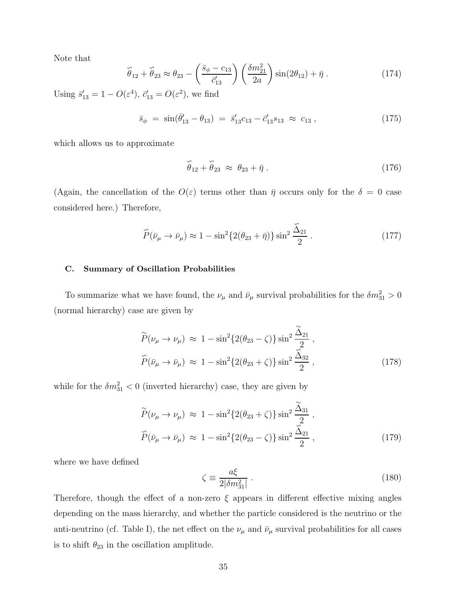Note that

$$
\widetilde{\theta}_{12} + \widetilde{\theta}_{23} \approx \theta_{23} - \left(\frac{\bar{s}_{\phi} - c_{13}}{\bar{c}_{13}'}\right) \left(\frac{\delta m_{21}^2}{2a}\right) \sin(2\theta_{12}) + \bar{\eta} \,. \tag{174}
$$

Using  $\vec{s}_{13}' = 1 - O(\varepsilon^4)$ ,  $\vec{c}_{13}' = O(\varepsilon^2)$ , we find

$$
\bar{s}_{\phi} = \sin(\bar{\theta}_{13}' - \theta_{13}) = \bar{s}_{13}'c_{13} - \bar{c}_{13}'s_{13} \approx c_{13}, \qquad (175)
$$

which allows us to approximate

$$
\widehat{\theta}_{12} + \widehat{\theta}_{23} \approx \theta_{23} + \bar{\eta} \ . \tag{176}
$$

(Again, the cancellation of the  $O(\varepsilon)$  terms other than  $\bar{\eta}$  occurs only for the  $\delta = 0$  case considered here.) Therefore,

$$
\tilde{P}(\bar{\nu}_{\mu} \to \bar{\nu}_{\mu}) \approx 1 - \sin^2 \{ 2(\theta_{23} + \bar{\eta}) \} \sin^2 \frac{\tilde{\Delta}_{21}}{2} . \tag{177}
$$

#### C. Summary of Oscillation Probabilities

To summarize what we have found, the  $\nu_{\mu}$  and  $\bar{\nu}_{\mu}$  survival probabilities for the  $\delta m_{31}^2 > 0$ (normal hierarchy) case are given by

$$
\widetilde{P}(\nu_{\mu} \to \nu_{\mu}) \approx 1 - \sin^2\{2(\theta_{23} - \zeta)\} \sin^2\frac{\widetilde{\Delta}_{21}}{2},
$$
  

$$
\widetilde{P}(\bar{\nu}_{\mu} \to \bar{\nu}_{\mu}) \approx 1 - \sin^2\{2(\theta_{23} + \zeta)\} \sin^2\frac{\widetilde{\Delta}_{32}}{2},
$$
\n(178)

while for the  $\delta m_{31}^2 < 0$  (inverted hierarchy) case, they are given by

$$
\widetilde{P}(\nu_{\mu} \to \nu_{\mu}) \approx 1 - \sin^2\{2(\theta_{23} + \zeta)\} \sin^2\frac{\widetilde{\Delta}_{31}}{2},
$$
  
\n
$$
\widetilde{P}(\bar{\nu}_{\mu} \to \bar{\nu}_{\mu}) \approx 1 - \sin^2\{2(\theta_{23} - \zeta)\} \sin^2\frac{\widetilde{\Delta}_{21}}{2},
$$
\n(179)

where we have defined

$$
\zeta \equiv \frac{a\xi}{2|\delta m_{31}^2|} \,. \tag{180}
$$

Therefore, though the effect of a non-zero  $\xi$  appears in different effective mixing angles depending on the mass hierarchy, and whether the particle considered is the neutrino or the anti-neutrino (cf. Table I), the net effect on the  $\nu_{\mu}$  and  $\bar{\nu}_{\mu}$  survival probabilities for all cases is to shift  $\theta_{23}$  in the oscillation amplitude.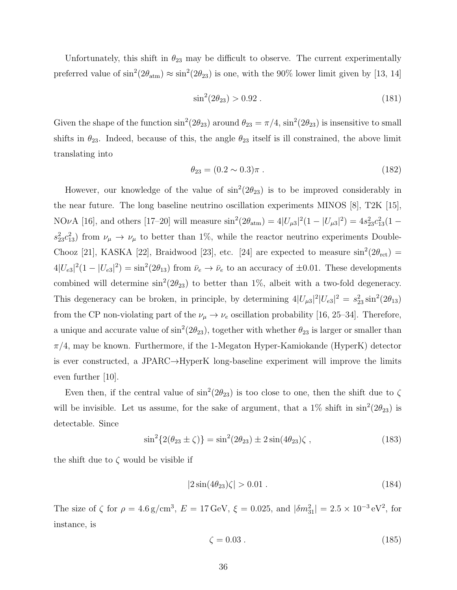Unfortunately, this shift in  $\theta_{23}$  may be difficult to observe. The current experimentally preferred value of  $\sin^2(2\theta_{\text{atm}}) \approx \sin^2(2\theta_{23})$  is one, with the 90% lower limit given by [13, 14]

$$
\sin^2(2\theta_{23}) > 0.92 \tag{181}
$$

Given the shape of the function  $\sin^2(2\theta_{23})$  around  $\theta_{23} = \pi/4$ ,  $\sin^2(2\theta_{23})$  is insensitive to small shifts in  $\theta_{23}$ . Indeed, because of this, the angle  $\theta_{23}$  itself is ill constrained, the above limit translating into

$$
\theta_{23} = (0.2 \sim 0.3)\pi \tag{182}
$$

However, our knowledge of the value of  $\sin^2(2\theta_{23})$  is to be improved considerably in the near future. The long baseline neutrino oscillation experiments MINOS [8], T2K [15], NOvA [16], and others [17-20] will measure  $\sin^2(2\theta_{\text{atm}}) = 4|U_{\mu 3}|^2(1 - |U_{\mu 3}|^2) = 4s_{23}^2c_{13}^2(1$  $s_{23}^2 c_{13}^2$ ) from  $\nu_\mu \to \nu_\mu$  to better than 1%, while the reactor neutrino experiments Double-Chooz [21], KASKA [22], Braidwood [23], etc. [24] are expected to measure  $\sin^2(2\theta_{\rm ret})$  =  $4|U_{e3}|^2(1-|U_{e3}|^2)=\sin^2(2\theta_{13})$  from  $\bar{\nu}_e \to \bar{\nu}_e$  to an accuracy of  $\pm 0.01$ . These developments combined will determine  $\sin^2(2\theta_{23})$  to better than 1%, albeit with a two-fold degeneracy. This degeneracy can be broken, in principle, by determining  $4|U_{\mu3}|^2|U_{e3}|^2 = s_{23}^2 \sin^2(2\theta_{13})$ from the CP non-violating part of the  $\nu_{\mu} \to \nu_{e}$  oscillation probability [16, 25–34]. Therefore, a unique and accurate value of  $\sin^2(2\theta_{23})$ , together with whether  $\theta_{23}$  is larger or smaller than  $\pi/4$ , may be known. Furthermore, if the 1-Megaton Hyper-Kamiokande (HyperK) detector is ever constructed, a JPARC→HyperK long-baseline experiment will improve the limits even further [10].

Even then, if the central value of  $\sin^2(2\theta_{23})$  is too close to one, then the shift due to  $\zeta$ will be invisible. Let us assume, for the sake of argument, that a  $1\%$  shift in  $\sin^2(2\theta_{23})$  is detectable. Since

$$
\sin^2\{2(\theta_{23} \pm \zeta)\} = \sin^2(2\theta_{23}) \pm 2\sin(4\theta_{23})\zeta ,\qquad (183)
$$

the shift due to  $\zeta$  would be visible if

$$
|2\sin(4\theta_{23})\zeta| > 0.01.
$$
 (184)

The size of  $\zeta$  for  $\rho = 4.6 \text{ g/cm}^3$ ,  $E = 17 \text{ GeV}$ ,  $\xi = 0.025$ , and  $|\delta m_{31}^2| = 2.5 \times 10^{-3} \text{ eV}^2$ , for instance, is

$$
\zeta = 0.03 \tag{185}
$$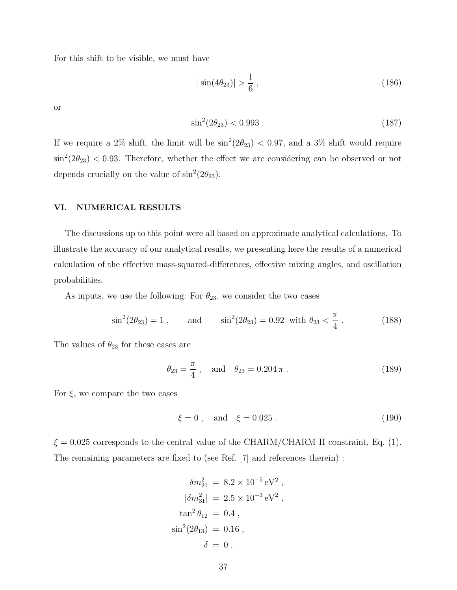For this shift to be visible, we must have

$$
|\sin(4\theta_{23})| > \frac{1}{6}, \qquad (186)
$$

or

$$
\sin^2(2\theta_{23}) < 0.993 \tag{187}
$$

If we require a 2\% shift, the limit will be  $\sin^2(2\theta_{23})$  < 0.97, and a 3\% shift would require  $\sin^2(2\theta_{23})$  < 0.93. Therefore, whether the effect we are considering can be observed or not depends crucially on the value of  $\sin^2(2\theta_{23})$ .

# VI. NUMERICAL RESULTS

The discussions up to this point were all based on approximate analytical calculations. To illustrate the accuracy of our analytical results, we presenting here the results of a numerical calculation of the effective mass-squared-differences, effective mixing angles, and oscillation probabilities.

As inputs, we use the following: For  $\theta_{23}$ , we consider the two cases

$$
\sin^2(2\theta_{23}) = 1
$$
, and  $\sin^2(2\theta_{23}) = 0.92$  with  $\theta_{23} < \frac{\pi}{4}$ . (188)

The values of  $\theta_{23}$  for these cases are

$$
\theta_{23} = \frac{\pi}{4}
$$
, and  $\theta_{23} = 0.204 \pi$ . (189)

For  $\xi$ , we compare the two cases

$$
\xi = 0
$$
, and  $\xi = 0.025$ . (190)

,

 $\xi = 0.025$  corresponds to the central value of the CHARM/CHARM II constraint, Eq. (1). The remaining parameters are fixed to (see Ref. [7] and references therein) :

$$
\delta m_{21}^2 = 8.2 \times 10^{-5} \,\text{eV}^2 \,,
$$
  
\n
$$
|\delta m_{31}^2| = 2.5 \times 10^{-3} \,\text{eV}^2 \,,
$$
  
\n
$$
\tan^2 \theta_{12} = 0.4 \,,
$$
  
\n
$$
\sin^2(2\theta_{13}) = 0.16 \,,
$$
  
\n
$$
\delta = 0 \,,
$$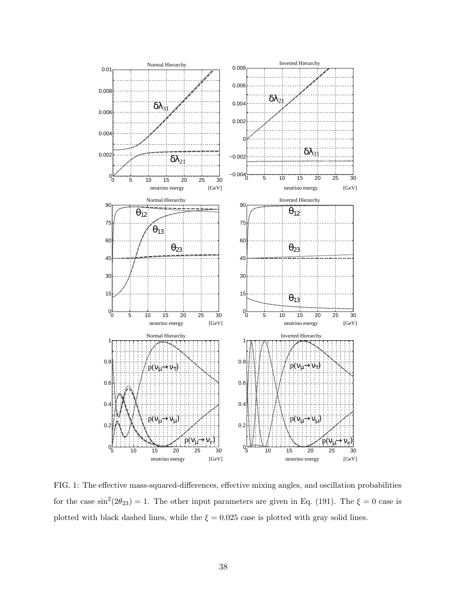

FIG. 1: The effective mass-squared-differences, effective mixing angles, and oscillation probabilities for the case  $\sin^2(2\theta_{23}) = 1$ . The other input parameters are given in Eq. (191). The  $\xi = 0$  case is plotted with black dashed lines, while the  $\xi = 0.025$  case is plotted with gray solid lines.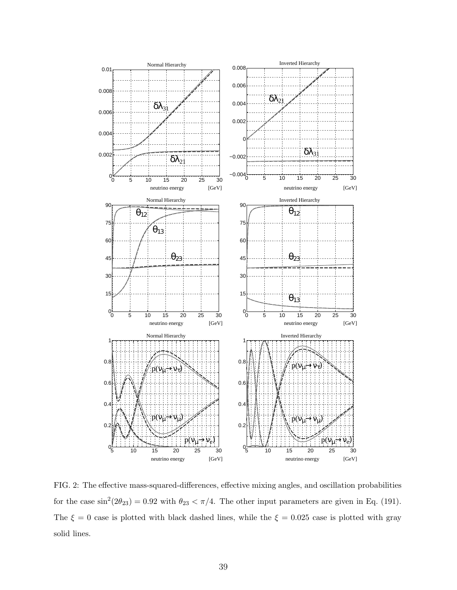

FIG. 2: The effective mass-squared-differences, effective mixing angles, and oscillation probabilities for the case  $\sin^2(2\theta_{23}) = 0.92$  with  $\theta_{23} < \pi/4$ . The other input parameters are given in Eq. (191). The  $\xi = 0$  case is plotted with black dashed lines, while the  $\xi = 0.025$  case is plotted with gray solid lines.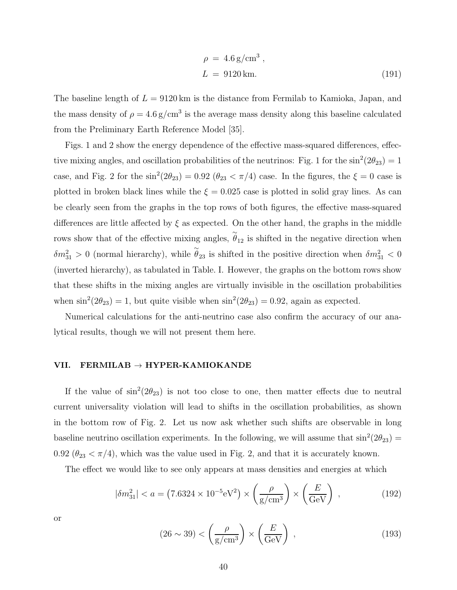$$
\rho = 4.6 \,\text{g/cm}^3 \,,
$$
\n
$$
L = 9120 \,\text{km.}
$$
\n(191)

The baseline length of  $L = 9120 \text{ km}$  is the distance from Fermilab to Kamioka, Japan, and the mass density of  $\rho = 4.6 \text{ g/cm}^3$  is the average mass density along this baseline calculated from the Preliminary Earth Reference Model [35].

Figs. 1 and 2 show the energy dependence of the effective mass-squared differences, effective mixing angles, and oscillation probabilities of the neutrinos: Fig. 1 for the  $\sin^2(2\theta_{23}) = 1$ case, and Fig. 2 for the  $\sin^2(2\theta_{23}) = 0.92$  ( $\theta_{23} < \pi/4$ ) case. In the figures, the  $\xi = 0$  case is plotted in broken black lines while the  $\xi = 0.025$  case is plotted in solid gray lines. As can be clearly seen from the graphs in the top rows of both figures, the effective mass-squared differences are little affected by  $\xi$  as expected. On the other hand, the graphs in the middle rows show that of the effective mixing angles,  $\tilde{\theta}_{12}$  is shifted in the negative direction when  $\delta m_{31}^2 > 0$  (normal hierarchy), while  $\tilde{\theta}_{23}$  is shifted in the positive direction when  $\delta m_{31}^2 < 0$ (inverted hierarchy), as tabulated in Table. I. However, the graphs on the bottom rows show that these shifts in the mixing angles are virtually invisible in the oscillation probabilities when  $\sin^2(2\theta_{23}) = 1$ , but quite visible when  $\sin^2(2\theta_{23}) = 0.92$ , again as expected.

Numerical calculations for the anti-neutrino case also confirm the accuracy of our analytical results, though we will not present them here.

#### VII. FERMILAB  $\rightarrow$  HYPER-KAMIOKANDE

If the value of  $\sin^2(2\theta_{23})$  is not too close to one, then matter effects due to neutral current universality violation will lead to shifts in the oscillation probabilities, as shown in the bottom row of Fig. 2. Let us now ask whether such shifts are observable in long baseline neutrino oscillation experiments. In the following, we will assume that  $\sin^2(2\theta_{23})$  = 0.92 ( $\theta_{23} < \pi/4$ ), which was the value used in Fig. 2, and that it is accurately known.

The effect we would like to see only appears at mass densities and energies at which

$$
|\delta m_{31}^2| < a = (7.6324 \times 10^{-5} \, \text{eV}^2) \times \left(\frac{\rho}{\text{g/cm}^3}\right) \times \left(\frac{E}{\text{GeV}}\right) \,,\tag{192}
$$

or

$$
(26 \sim 39) < \left(\frac{\rho}{g/cm^3}\right) \times \left(\frac{E}{GeV}\right) \,,\tag{193}
$$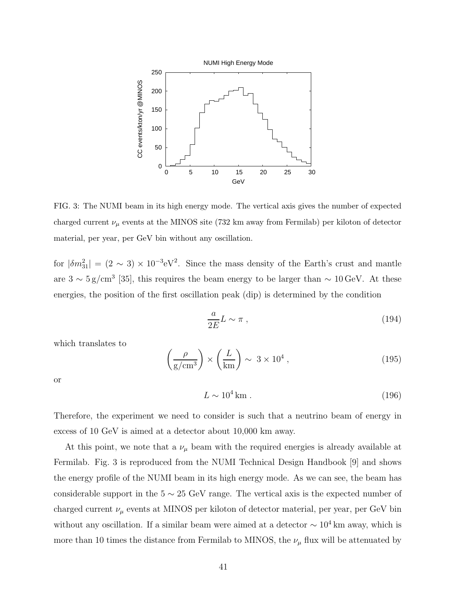

FIG. 3: The NUMI beam in its high energy mode. The vertical axis gives the number of expected charged current  $\nu_\mu$  events at the MINOS site (732 km away from Fermilab) per kiloton of detector material, per year, per GeV bin without any oscillation.

for  $|\delta m_{31}^2| = (2 \sim 3) \times 10^{-3} \text{eV}^2$ . Since the mass density of the Earth's crust and mantle are  $3 \sim 5 \text{ g/cm}^3$  [35], this requires the beam energy to be larger than  $\sim 10 \text{ GeV}$ . At these energies, the position of the first oscillation peak (dip) is determined by the condition

$$
\frac{a}{2E}L \sim \pi \;, \tag{194}
$$

which translates to

$$
\left(\frac{\rho}{g/cm^3}\right) \times \left(\frac{L}{km}\right) \sim 3 \times 10^4 \,,\tag{195}
$$

or

$$
L \sim 10^4 \,\mathrm{km} \tag{196}
$$

Therefore, the experiment we need to consider is such that a neutrino beam of energy in excess of 10 GeV is aimed at a detector about 10,000 km away.

At this point, we note that a  $\nu_{\mu}$  beam with the required energies is already available at Fermilab. Fig. 3 is reproduced from the NUMI Technical Design Handbook [9] and shows the energy profile of the NUMI beam in its high energy mode. As we can see, the beam has considerable support in the  $5 \sim 25$  GeV range. The vertical axis is the expected number of charged current  $\nu_{\mu}$  events at MINOS per kiloton of detector material, per year, per GeV bin without any oscillation. If a similar beam were aimed at a detector  $\sim 10^4$  km away, which is more than 10 times the distance from Fermilab to MINOS, the  $\nu_{\mu}$  flux will be attenuated by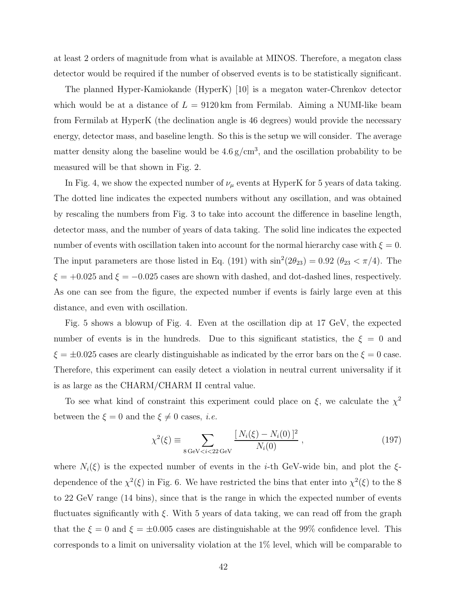at least 2 orders of magnitude from what is available at MINOS. Therefore, a megaton class detector would be required if the number of observed events is to be statistically significant.

The planned Hyper-Kamiokande (HyperK) [10] is a megaton water-Chrenkov detector which would be at a distance of  $L = 9120 \text{ km}$  from Fermilab. Aiming a NUMI-like beam from Fermilab at HyperK (the declination angle is 46 degrees) would provide the necessary energy, detector mass, and baseline length. So this is the setup we will consider. The average matter density along the baseline would be  $4.6 \text{ g/cm}^3$ , and the oscillation probability to be measured will be that shown in Fig. 2.

In Fig. 4, we show the expected number of  $\nu_{\mu}$  events at HyperK for 5 years of data taking. The dotted line indicates the expected numbers without any oscillation, and was obtained by rescaling the numbers from Fig. 3 to take into account the difference in baseline length, detector mass, and the number of years of data taking. The solid line indicates the expected number of events with oscillation taken into account for the normal hierarchy case with  $\xi = 0$ . The input parameters are those listed in Eq. (191) with  $\sin^2(2\theta_{23}) = 0.92$  ( $\theta_{23} < \pi/4$ ). The  $\xi = +0.025$  and  $\xi = -0.025$  cases are shown with dashed, and dot-dashed lines, respectively. As one can see from the figure, the expected number if events is fairly large even at this distance, and even with oscillation.

Fig. 5 shows a blowup of Fig. 4. Even at the oscillation dip at 17 GeV, the expected number of events is in the hundreds. Due to this significant statistics, the  $\xi = 0$  and  $\xi = \pm 0.025$  cases are clearly distinguishable as indicated by the error bars on the  $\xi = 0$  case. Therefore, this experiment can easily detect a violation in neutral current universality if it is as large as the CHARM/CHARM II central value.

To see what kind of constraint this experiment could place on  $\xi$ , we calculate the  $\chi^2$ between the  $\xi = 0$  and the  $\xi \neq 0$  cases, *i.e.* 

$$
\chi^2(\xi) \equiv \sum_{8 \text{ GeV} < i < 22 \text{ GeV}} \frac{[N_i(\xi) - N_i(0)]^2}{N_i(0)},\tag{197}
$$

where  $N_i(\xi)$  is the expected number of events in the *i*-th GeV-wide bin, and plot the  $\xi$ dependence of the  $\chi^2(\xi)$  in Fig. 6. We have restricted the bins that enter into  $\chi^2(\xi)$  to the 8 to 22 GeV range (14 bins), since that is the range in which the expected number of events fluctuates significantly with  $\xi$ . With 5 years of data taking, we can read off from the graph that the  $\xi = 0$  and  $\xi = \pm 0.005$  cases are distinguishable at the 99% confidence level. This corresponds to a limit on universality violation at the 1% level, which will be comparable to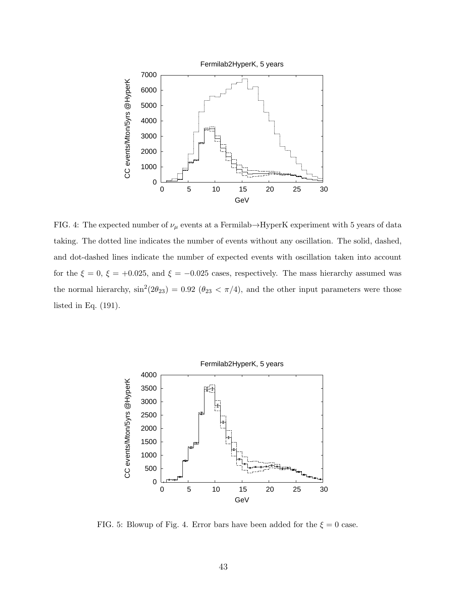

FIG. 4: The expected number of  $\nu_{\mu}$  events at a Fermilab→HyperK experiment with 5 years of data taking. The dotted line indicates the number of events without any oscillation. The solid, dashed, and dot-dashed lines indicate the number of expected events with oscillation taken into account for the  $\xi = 0$ ,  $\xi = +0.025$ , and  $\xi = -0.025$  cases, respectively. The mass hierarchy assumed was the normal hierarchy,  $\sin^2(2\theta_{23}) = 0.92$  ( $\theta_{23} < \pi/4$ ), and the other input parameters were those listed in Eq. (191).



FIG. 5: Blowup of Fig. 4. Error bars have been added for the  $\xi = 0$  case.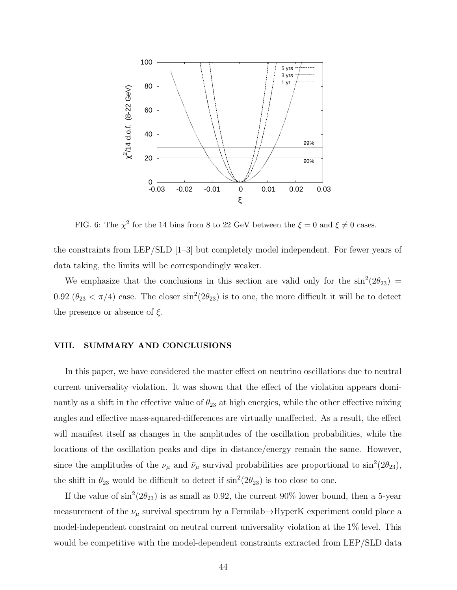

FIG. 6: The  $\chi^2$  for the 14 bins from 8 to 22 GeV between the  $\xi = 0$  and  $\xi \neq 0$  cases.

the constraints from LEP/SLD [1–3] but completely model independent. For fewer years of data taking, the limits will be correspondingly weaker.

We emphasize that the conclusions in this section are valid only for the  $\sin^2(2\theta_{23})$  = 0.92  $(\theta_{23} < \pi/4)$  case. The closer  $\sin^2(2\theta_{23})$  is to one, the more difficult it will be to detect the presence or absence of  $\xi$ .

# VIII. SUMMARY AND CONCLUSIONS

In this paper, we have considered the matter effect on neutrino oscillations due to neutral current universality violation. It was shown that the effect of the violation appears dominantly as a shift in the effective value of  $\theta_{23}$  at high energies, while the other effective mixing angles and effective mass-squared-differences are virtually unaffected. As a result, the effect will manifest itself as changes in the amplitudes of the oscillation probabilities, while the locations of the oscillation peaks and dips in distance/energy remain the same. However, since the amplitudes of the  $\nu_{\mu}$  and  $\bar{\nu}_{\mu}$  survival probabilities are proportional to  $\sin^2(2\theta_{23})$ , the shift in  $\theta_{23}$  would be difficult to detect if  $\sin^2(2\theta_{23})$  is too close to one.

If the value of  $\sin^2(2\theta_{23})$  is as small as 0.92, the current 90% lower bound, then a 5-year measurement of the  $\nu_{\mu}$  survival spectrum by a Fermilab $\rightarrow$ HyperK experiment could place a model-independent constraint on neutral current universality violation at the 1% level. This would be competitive with the model-dependent constraints extracted from LEP/SLD data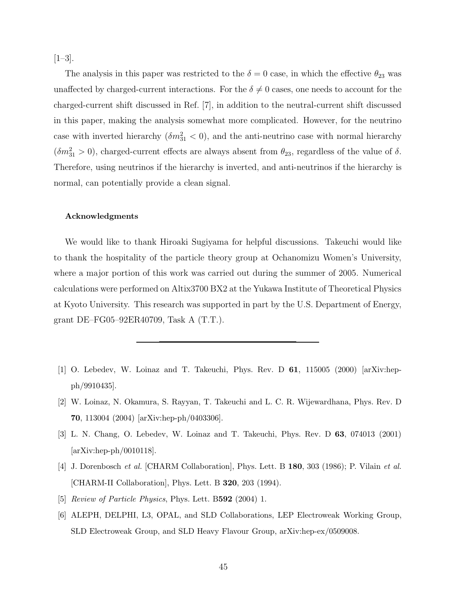$[1-3]$ .

The analysis in this paper was restricted to the  $\delta = 0$  case, in which the effective  $\theta_{23}$  was unaffected by charged-current interactions. For the  $\delta \neq 0$  cases, one needs to account for the charged-current shift discussed in Ref. [7], in addition to the neutral-current shift discussed in this paper, making the analysis somewhat more complicated. However, for the neutrino case with inverted hierarchy  $(\delta m_{31}^2 < 0)$ , and the anti-neutrino case with normal hierarchy  $(\delta m_{31}^2 > 0)$ , charged-current effects are always absent from  $\theta_{23}$ , regardless of the value of  $\delta$ . Therefore, using neutrinos if the hierarchy is inverted, and anti-neutrinos if the hierarchy is normal, can potentially provide a clean signal.

# Acknowledgments

We would like to thank Hiroaki Sugiyama for helpful discussions. Takeuchi would like to thank the hospitality of the particle theory group at Ochanomizu Women's University, where a major portion of this work was carried out during the summer of 2005. Numerical calculations were performed on Altix3700 BX2 at the Yukawa Institute of Theoretical Physics at Kyoto University. This research was supported in part by the U.S. Department of Energy, grant DE–FG05–92ER40709, Task A (T.T.).

- [1] O. Lebedev, W. Loinaz and T. Takeuchi, Phys. Rev. D 61, 115005 (2000) [arXiv:hepph/9910435].
- [2] W. Loinaz, N. Okamura, S. Rayyan, T. Takeuchi and L. C. R. Wijewardhana, Phys. Rev. D 70, 113004 (2004) [arXiv:hep-ph/0403306].
- [3] L. N. Chang, O. Lebedev, W. Loinaz and T. Takeuchi, Phys. Rev. D 63, 074013 (2001) [arXiv:hep-ph/0010118].
- [4] J. Dorenbosch et al. [CHARM Collaboration], Phys. Lett. B 180, 303 (1986); P. Vilain et al. [CHARM-II Collaboration], Phys. Lett. B 320, 203 (1994).
- [5] Review of Particle Physics, Phys. Lett. B592 (2004) 1.
- [6] ALEPH, DELPHI, L3, OPAL, and SLD Collaborations, LEP Electroweak Working Group, SLD Electroweak Group, and SLD Heavy Flavour Group, arXiv:hep-ex/0509008.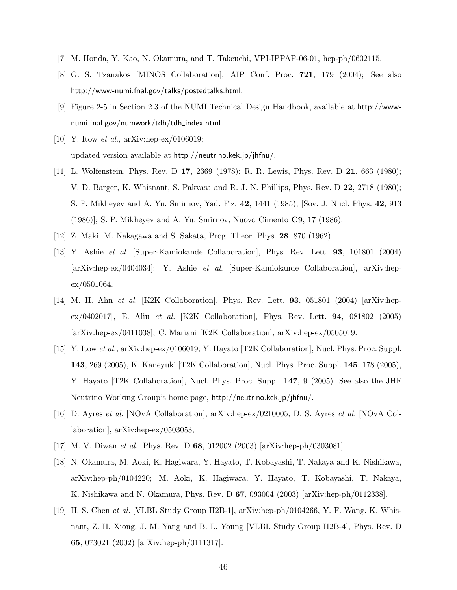- [7] M. Honda, Y. Kao, N. Okamura, and T. Takeuchi, VPI-IPPAP-06-01, hep-ph/0602115.
- [8] G. S. Tzanakos [MINOS Collaboration], AIP Conf. Proc. 721, 179 (2004); See also http://www-numi.fnal.gov/talks/postedtalks.html.
- [9] Figure 2-5 in Section 2.3 of the NUMI Technical Design Handbook, available at http://wwwnumi.fnal.gov/numwork/tdh/tdh index.html
- [10] Y. Itow *et al.*, arXiv:hep-ex/0106019; updated version available at http://neutrino.kek.jp/jhfnu/.
- [11] L. Wolfenstein, Phys. Rev. D 17, 2369 (1978); R. R. Lewis, Phys. Rev. D 21, 663 (1980); V. D. Barger, K. Whisnant, S. Pakvasa and R. J. N. Phillips, Phys. Rev. D 22, 2718 (1980); S. P. Mikheyev and A. Yu. Smirnov, Yad. Fiz. 42, 1441 (1985), [Sov. J. Nucl. Phys. 42, 913 (1986)]; S. P. Mikheyev and A. Yu. Smirnov, Nuovo Cimento C9, 17 (1986).
- [12] Z. Maki, M. Nakagawa and S. Sakata, Prog. Theor. Phys. 28, 870 (1962).
- [13] Y. Ashie et al. [Super-Kamiokande Collaboration], Phys. Rev. Lett. 93, 101801 (2004) [arXiv:hep-ex/0404034]; Y. Ashie et al. [Super-Kamiokande Collaboration], arXiv:hep $ex/0501064.$
- [14] M. H. Ahn et al. [K2K Collaboration], Phys. Rev. Lett. 93, 051801 (2004) [arXiv:hepex/0402017], E. Aliu et al. [K2K Collaboration], Phys. Rev. Lett. 94, 081802 (2005) [arXiv:hep-ex/0411038], C. Mariani [K2K Collaboration], arXiv:hep-ex/0505019.
- [15] Y. Itow et al., arXiv:hep-ex/0106019; Y. Hayato [T2K Collaboration], Nucl. Phys. Proc. Suppl. 143, 269 (2005), K. Kaneyuki [T2K Collaboration], Nucl. Phys. Proc. Suppl. 145, 178 (2005), Y. Hayato [T2K Collaboration], Nucl. Phys. Proc. Suppl. 147, 9 (2005). See also the JHF Neutrino Working Group's home page, http://neutrino.kek.jp/jhfnu/.
- [16] D. Ayres et al. [NOvA Collaboration], arXiv:hep-ex/0210005, D. S. Ayres et al. [NOvA Collaboration], arXiv:hep-ex/0503053,
- [17] M. V. Diwan et al., Phys. Rev. D 68, 012002 (2003) [arXiv:hep-ph/0303081].
- [18] N. Okamura, M. Aoki, K. Hagiwara, Y. Hayato, T. Kobayashi, T. Nakaya and K. Nishikawa, arXiv:hep-ph/0104220; M. Aoki, K. Hagiwara, Y. Hayato, T. Kobayashi, T. Nakaya, K. Nishikawa and N. Okamura, Phys. Rev. D 67, 093004 (2003) [arXiv:hep-ph/0112338].
- [19] H. S. Chen et al. [VLBL Study Group H2B-1], arXiv:hep-ph/0104266, Y. F. Wang, K. Whisnant, Z. H. Xiong, J. M. Yang and B. L. Young [VLBL Study Group H2B-4], Phys. Rev. D 65, 073021 (2002) [arXiv:hep-ph/0111317].